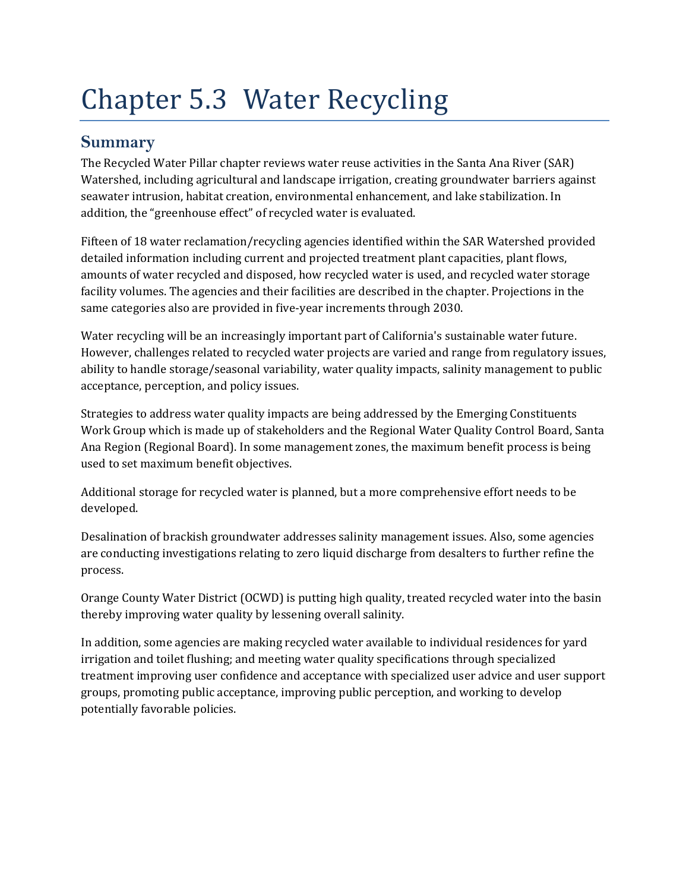# Chapter 5.3 Water Recycling

# **Summary**

The Recycled Water Pillar chapter reviews water reuse activities in the Santa Ana River (SAR) Watershed, including agricultural and landscape irrigation, creating groundwater barriers against seawater intrusion, habitat creation, environmental enhancement, and lake stabilization. In addition, the "greenhouse effect" of recycled water is evaluated.

Fifteen of 18 water reclamation/recycling agencies identified within the SAR Watershed provided detailed information including current and projected treatment plant capacities, plant flows, amounts of water recycled and disposed, how recycled water is used, and recycled water storage facility volumes. The agencies and their facilities are described in the chapter. Projections in the same categories also are provided in five‐year increments through 2030.

Water recycling will be an increasingly important part of California's sustainable water future. However, challenges related to recycled water projects are varied and range from regulatory issues, ability to handle storage/seasonal variability, water quality impacts, salinity management to public acceptance, perception, and policy issues.

Strategies to address water quality impacts are being addressed by the Emerging Constituents Work Group which is made up of stakeholders and the Regional Water Quality Control Board, Santa Ana Region (Regional Board). In some management zones, the maximum benefit process is being used to set maximum benefit objectives.

Additional storage for recycled water is planned, but a more comprehensive effort needs to be developed.

Desalination of brackish groundwater addresses salinity management issues. Also, some agencies are conducting investigations relating to zero liquid discharge from desalters to further refine the process.

Orange County Water District (OCWD) is putting high quality, treated recycled water into the basin thereby improving water quality by lessening overall salinity.

In addition, some agencies are making recycled water available to individual residences for yard irrigation and toilet flushing; and meeting water quality specifications through specialized treatment improving user confidence and acceptance with specialized user advice and user support groups, promoting public acceptance, improving public perception, and working to develop potentially favorable policies.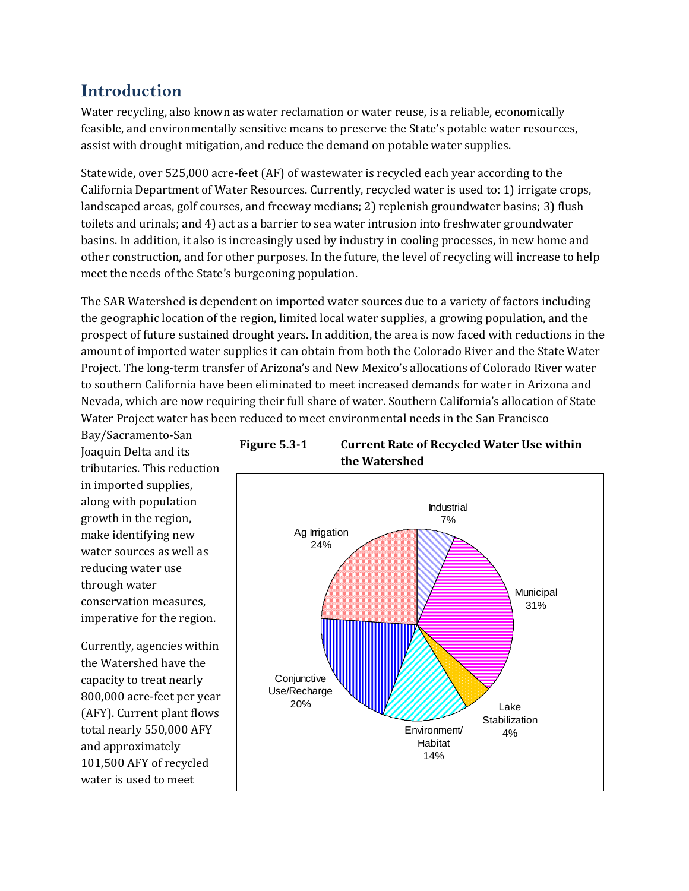# **Introduction**

Water recycling, also known as water reclamation or water reuse, is a reliable, economically feasible, and environmentally sensitive means to preserve the State's potable water resources, assist with drought mitigation, and reduce the demand on potable water supplies.

Statewide, over 525,000 acre‐feet (AF) of wastewater is recycled each year according to the California Department of Water Resources. Currently, recycled water is used to: 1) irrigate crops, landscaped areas, golf courses, and freeway medians; 2) replenish groundwater basins; 3) flush toilets and urinals; and 4) act as a barrier to sea water intrusion into freshwater groundwater basins. In addition, it also is increasingly used by industry in cooling processes, in new home and other construction, and for other purposes. In the future, the level of recycling will increase to help meet the needs of the State's burgeoning population.

The SAR Watershed is dependent on imported water sources due to a variety of factors including the geographic location of the region, limited local water supplies, a growing population, and the prospect of future sustained drought years. In addition, the area is now faced with reductions in the amount of imported water supplies it can obtain from both the Colorado River and the State Water Project. The long‐term transfer of Arizona's and New Mexico's allocations of Colorado River water to southern California have been eliminated to meet increased demands for water in Arizona and Nevada, which are now requiring their full share of water. Southern California's allocation of State Water Project water has been reduced to meet environmental needs in the San Francisco

Bay/Sacramento‐San Joaquin Delta and its tributaries. This reduction in imported supplies, along with population growth in the region, make identifying new water sources as well as reducing water use through water conservation measures, imperative for the region.

Currently, agencies within the Watershed have the capacity to treat nearly 800,000 acre‐feet per year (AFY). Current plant flows total nearly 550,000 AFY and approximately 101,500 AFY of recycled water is used to meet



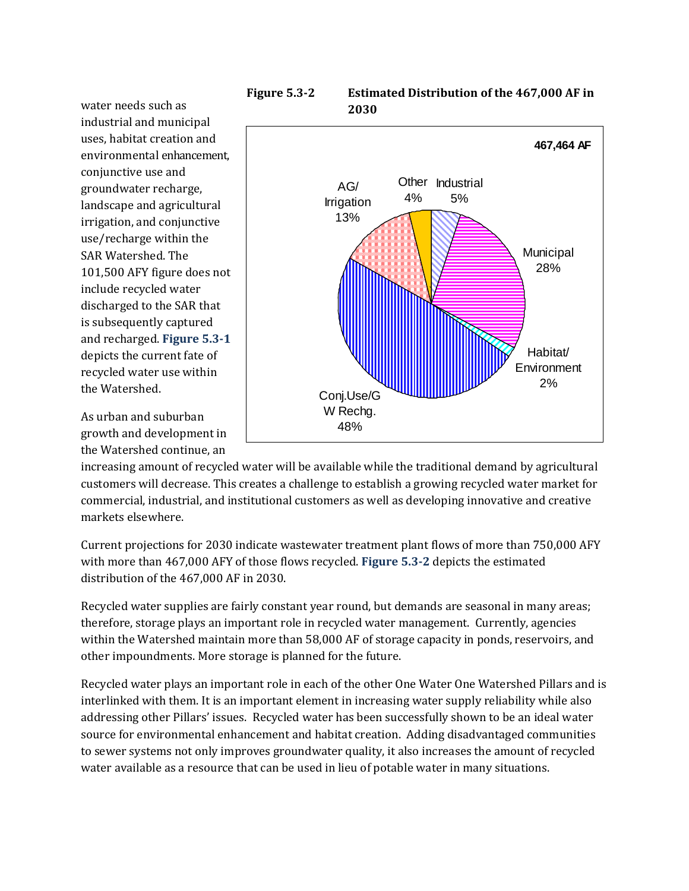water needs such as industrial and municipal uses, habitat creation and environmental enhancement, conjunctive use and groundwater recharge, landscape and agricultural irrigation, and conjunctive use/recharge within the SAR Watershed. The 101,500 AFY figure does not include recycled water discharged to the SAR that is subsequently captured and recharged. **Figure 5.31** depicts the current fate of recycled water use within the Watershed.

As urban and suburban growth and development in the Watershed continue, an





increasing amount of recycled water will be available while the traditional demand by agricultural customers will decrease. This creates a challenge to establish a growing recycled water market for commercial, industrial, and institutional customers as well as developing innovative and creative markets elsewhere.

Current projections for 2030 indicate wastewater treatment plant flows of more than 750,000 AFY with more than 467,000 AFY of those flows recycled. **Figure 5.32** depicts the estimated distribution of the 467,000 AF in 2030.

Recycled water supplies are fairly constant year round, but demands are seasonal in many areas; therefore, storage plays an important role in recycled water management. Currently, agencies within the Watershed maintain more than 58,000 AF of storage capacity in ponds, reservoirs, and other impoundments. More storage is planned for the future.

Recycled water plays an important role in each of the other One Water One Watershed Pillars and is interlinked with them. It is an important element in increasing water supply reliability while also addressing other Pillars' issues. Recycled water has been successfully shown to be an ideal water source for environmental enhancement and habitat creation. Adding disadvantaged communities to sewer systems not only improves groundwater quality, it also increases the amount of recycled water available as a resource that can be used in lieu of potable water in many situations.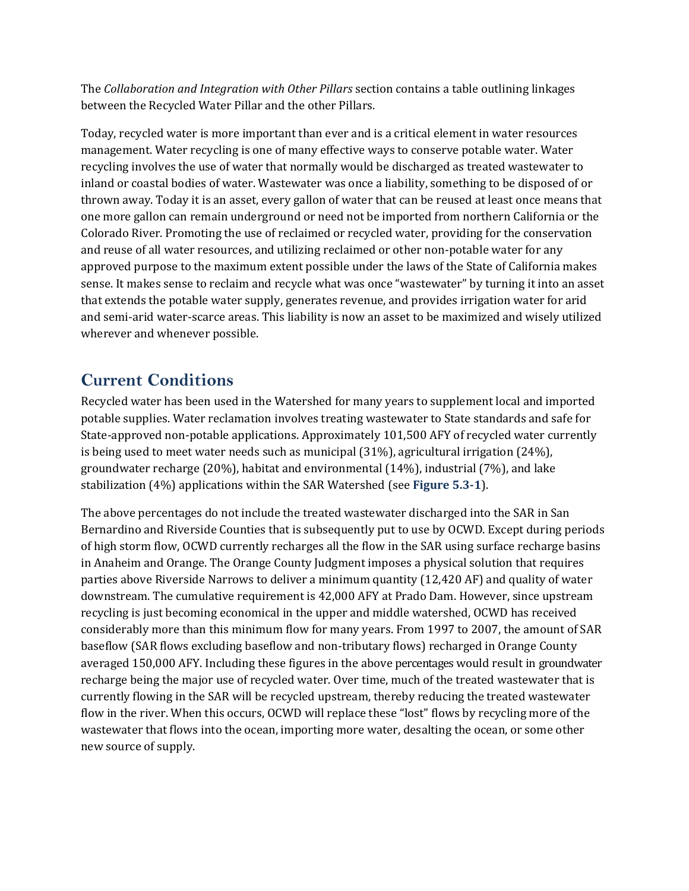The *Collaboration and Integration with Other Pillars* section contains a table outlining linkages between the Recycled Water Pillar and the other Pillars.

Today, recycled water is more important than ever and is a critical element in water resources management. Water recycling is one of many effective ways to conserve potable water. Water recycling involves the use of water that normally would be discharged as treated wastewater to inland or coastal bodies of water. Wastewater was once a liability, something to be disposed of or thrown away. Today it is an asset, every gallon of water that can be reused at least once means that one more gallon can remain underground or need not be imported from northern California or the Colorado River. Promoting the use of reclaimed or recycled water, providing for the conservation and reuse of all water resources, and utilizing reclaimed or other non‐potable water for any approved purpose to the maximum extent possible under the laws of the State of California makes sense. It makes sense to reclaim and recycle what was once "wastewater" by turning it into an asset that extends the potable water supply, generates revenue, and provides irrigation water for arid and semi‐arid water‐scarce areas. This liability is now an asset to be maximized and wisely utilized wherever and whenever possible.

# **Current Conditions**

Recycled water has been used in the Watershed for many years to supplement local and imported potable supplies. Water reclamation involves treating wastewater to State standards and safe for State-approved non-potable applications. Approximately 101,500 AFY of recycled water currently is being used to meet water needs such as municipal (31%), agricultural irrigation (24%), groundwater recharge (20%), habitat and environmental (14%), industrial (7%), and lake stabilization (4%) applications within the SAR Watershed (see **Figure 5.31**).

The above percentages do not include the treated wastewater discharged into the SAR in San Bernardino and Riverside Counties that is subsequently put to use by OCWD. Except during periods of high storm flow, OCWD currently recharges all the flow in the SAR using surface recharge basins in Anaheim and Orange. The Orange County Judgment imposes a physical solution that requires parties above Riverside Narrows to deliver a minimum quantity (12,420 AF) and quality of water downstream. The cumulative requirement is 42,000 AFY at Prado Dam. However, since upstream recycling is just becoming economical in the upper and middle watershed, OCWD has received considerably more than this minimum flow for many years. From 1997 to 2007, the amount of SAR baseflow (SAR flows excluding baseflow and non‐tributary flows) recharged in Orange County averaged 150,000 AFY. Including these figures in the above percentages would result in groundwater recharge being the major use of recycled water. Over time, much of the treated wastewater that is currently flowing in the SAR will be recycled upstream, thereby reducing the treated wastewater flow in the river. When this occurs, OCWD will replace these "lost" flows by recycling more of the wastewater that flows into the ocean, importing more water, desalting the ocean, or some other new source of supply.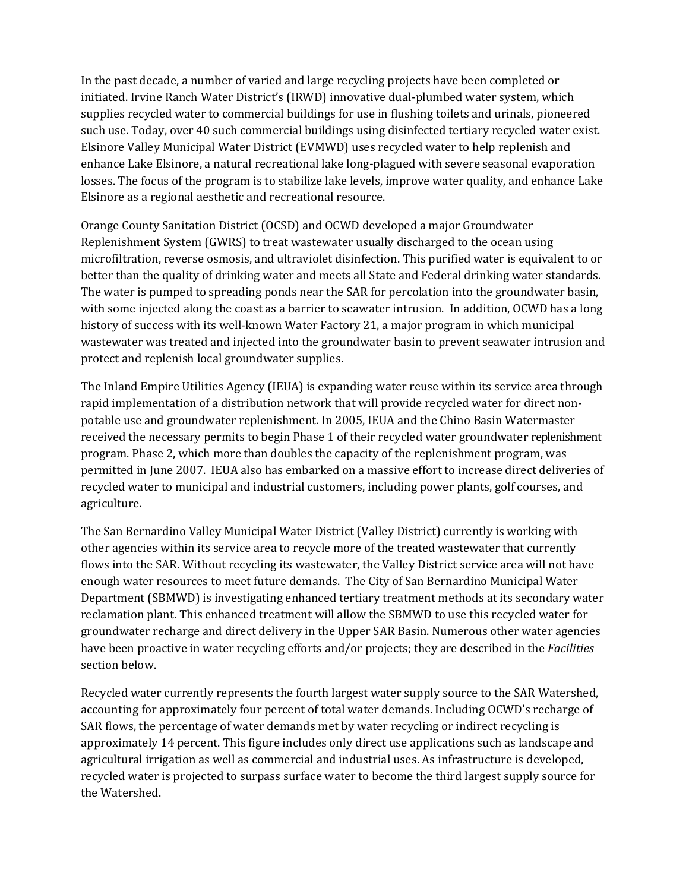In the past decade, a number of varied and large recycling projects have been completed or initiated. Irvine Ranch Water District's (IRWD) innovative dual‐plumbed water system, which supplies recycled water to commercial buildings for use in flushing toilets and urinals, pioneered such use. Today, over 40 such commercial buildings using disinfected tertiary recycled water exist. Elsinore Valley Municipal Water District (EVMWD) uses recycled water to help replenish and enhance Lake Elsinore, a natural recreational lake long‐plagued with severe seasonal evaporation losses. The focus of the program is to stabilize lake levels, improve water quality, and enhance Lake Elsinore as a regional aesthetic and recreational resource.

Orange County Sanitation District (OCSD) and OCWD developed a major Groundwater Replenishment System (GWRS) to treat wastewater usually discharged to the ocean using microfiltration, reverse osmosis, and ultraviolet disinfection. This purified water is equivalent to or better than the quality of drinking water and meets all State and Federal drinking water standards. The water is pumped to spreading ponds near the SAR for percolation into the groundwater basin, with some injected along the coast as a barrier to seawater intrusion. In addition, OCWD has a long history of success with its well-known Water Factory 21, a major program in which municipal wastewater was treated and injected into the groundwater basin to prevent seawater intrusion and protect and replenish local groundwater supplies.

The Inland Empire Utilities Agency (IEUA) is expanding water reuse within its service area through rapid implementation of a distribution network that will provide recycled water for direct non‐ potable use and groundwater replenishment. In 2005, IEUA and the Chino Basin Watermaster received the necessary permits to begin Phase 1 of their recycled water groundwater replenishment program. Phase 2, which more than doubles the capacity of the replenishment program, was permitted in June 2007. IEUA also has embarked on a massive effort to increase direct deliveries of recycled water to municipal and industrial customers, including power plants, golf courses, and agriculture.

The San Bernardino Valley Municipal Water District (Valley District) currently is working with other agencies within its service area to recycle more of the treated wastewater that currently flows into the SAR. Without recycling its wastewater, the Valley District service area will not have enough water resources to meet future demands. The City of San Bernardino Municipal Water Department (SBMWD) is investigating enhanced tertiary treatment methods at its secondary water reclamation plant. This enhanced treatment will allow the SBMWD to use this recycled water for groundwater recharge and direct delivery in the Upper SAR Basin. Numerous other water agencies have been proactive in water recycling efforts and/or projects; they are described in the *Facilities* section below.

Recycled water currently represents the fourth largest water supply source to the SAR Watershed, accounting for approximately four percent of total water demands. Including OCWD's recharge of SAR flows, the percentage of water demands met by water recycling or indirect recycling is approximately 14 percent. This figure includes only direct use applications such as landscape and agricultural irrigation as well as commercial and industrial uses. As infrastructure is developed, recycled water is projected to surpass surface water to become the third largest supply source for the Watershed.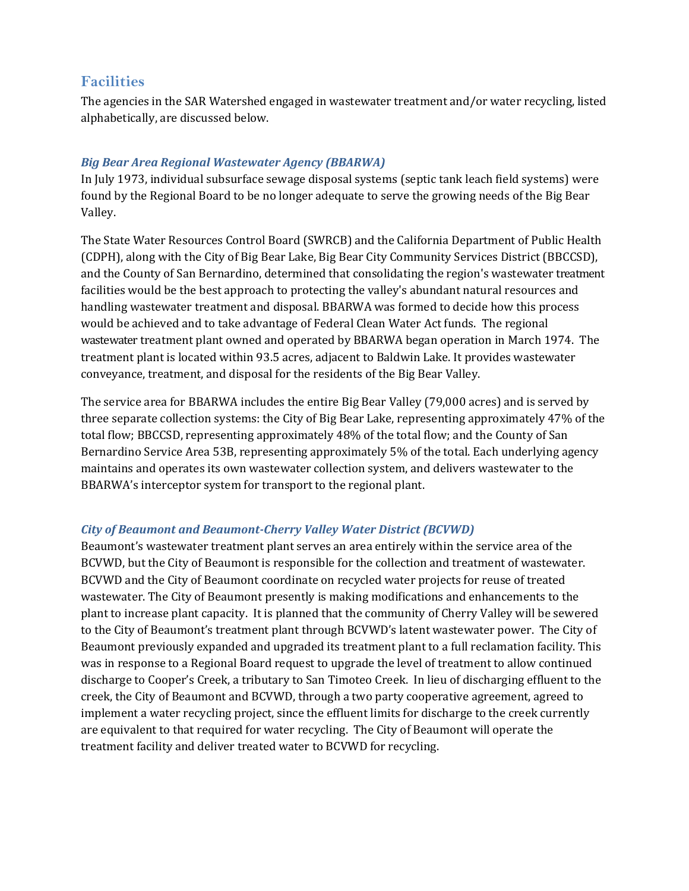# **Facilities**

The agencies in the SAR Watershed engaged in wastewater treatment and/or water recycling, listed alphabetically, are discussed below.

## *Big Bear Area Regional Wastewater Agency (BBARWA)*

In July 1973, individual subsurface sewage disposal systems (septic tank leach field systems) were found by the Regional Board to be no longer adequate to serve the growing needs of the Big Bear Valley.

The State Water Resources Control Board (SWRCB) and the California Department of Public Health (CDPH), along with the City of Big Bear Lake, Big Bear City Community Services District (BBCCSD), and the County of San Bernardino, determined that consolidating the region's wastewater treatment facilities would be the best approach to protecting the valley's abundant natural resources and handling wastewater treatment and disposal. BBARWA was formed to decide how this process would be achieved and to take advantage of Federal Clean Water Act funds. The regional wastewater treatment plant owned and operated by BBARWA began operation in March 1974. The treatment plant is located within 93.5 acres, adjacent to Baldwin Lake. It provides wastewater conveyance, treatment, and disposal for the residents of the Big Bear Valley.

The service area for BBARWA includes the entire Big Bear Valley (79,000 acres) and is served by three separate collection systems: the City of Big Bear Lake, representing approximately 47% of the total flow; BBCCSD, representing approximately 48% of the total flow; and the County of San Bernardino Service Area 53B, representing approximately 5% of the total. Each underlying agency maintains and operates its own wastewater collection system, and delivers wastewater to the BBARWA's interceptor system for transport to the regional plant.

## *City of Beaumont and BeaumontCherry Valley Water District (BCVWD)*

Beaumont's wastewater treatment plant serves an area entirely within the service area of the BCVWD, but the City of Beaumont is responsible for the collection and treatment of wastewater. BCVWD and the City of Beaumont coordinate on recycled water projects for reuse of treated wastewater. The City of Beaumont presently is making modifications and enhancements to the plant to increase plant capacity. It is planned that the community of Cherry Valley will be sewered to the City of Beaumont's treatment plant through BCVWD's latent wastewater power. The City of Beaumont previously expanded and upgraded its treatment plant to a full reclamation facility. This was in response to a Regional Board request to upgrade the level of treatment to allow continued discharge to Cooper's Creek, a tributary to San Timoteo Creek. In lieu of discharging effluent to the creek, the City of Beaumont and BCVWD, through a two party cooperative agreement, agreed to implement a water recycling project, since the effluent limits for discharge to the creek currently are equivalent to that required for water recycling. The City of Beaumont will operate the treatment facility and deliver treated water to BCVWD for recycling.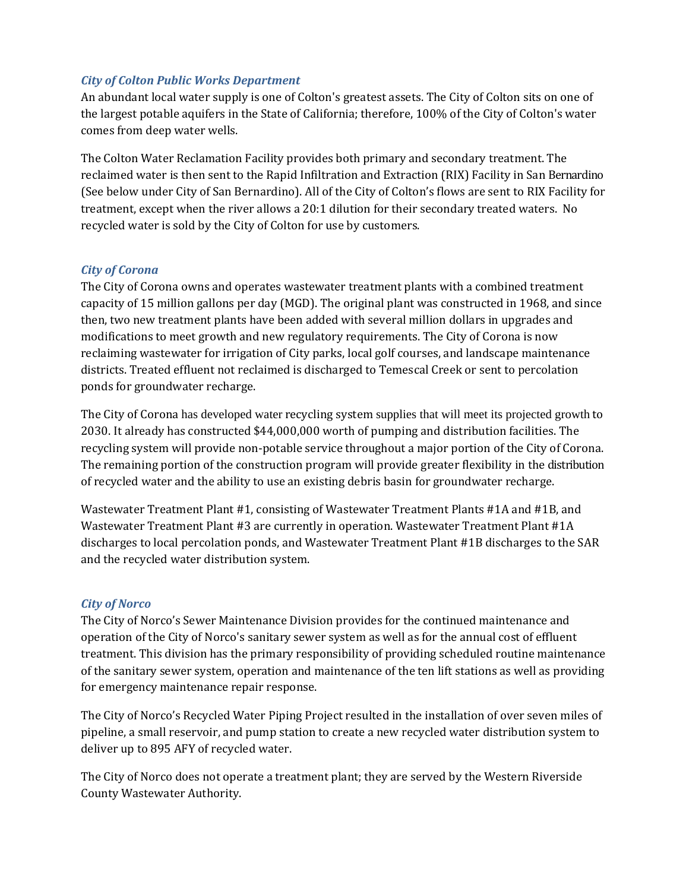## *City of Colton Public Works Department*

An abundant local water supply is one of Colton's greatest assets. The City of Colton sits on one of the largest potable aquifers in the State of California; therefore, 100% of the City of Colton's water comes from deep water wells.

The Colton Water Reclamation Facility provides both primary and secondary treatment. The reclaimed water is then sent to the Rapid Infiltration and Extraction (RIX) Facility in San Bernardino (See below under City of San Bernardino). All of the City of Colton's flows are sent to RIX Facility for treatment, except when the river allows a 20:1 dilution for their secondary treated waters. No recycled water is sold by the City of Colton for use by customers.

## *City of Corona*

The City of Corona owns and operates wastewater treatment plants with a combined treatment capacity of 15 million gallons per day (MGD). The original plant was constructed in 1968, and since then, two new treatment plants have been added with several million dollars in upgrades and modifications to meet growth and new regulatory requirements. The City of Corona is now reclaiming wastewater for irrigation of City parks, local golf courses, and landscape maintenance districts. Treated effluent not reclaimed is discharged to Temescal Creek or sent to percolation ponds for groundwater recharge.

The City of Corona has developed water recycling system supplies that will meet its projected growth to 2030. It already has constructed \$44,000,000 worth of pumping and distribution facilities. The recycling system will provide non‐potable service throughout a major portion of the City of Corona. The remaining portion of the construction program will provide greater flexibility in the distribution of recycled water and the ability to use an existing debris basin for groundwater recharge.

Wastewater Treatment Plant #1, consisting of Wastewater Treatment Plants #1A and #1B, and Wastewater Treatment Plant #3 are currently in operation. Wastewater Treatment Plant #1A discharges to local percolation ponds, and Wastewater Treatment Plant #1B discharges to the SAR and the recycled water distribution system.

## *City of Norco*

The City of Norco's Sewer Maintenance Division provides for the continued maintenance and operation of the City of Norco's sanitary sewer system as well as for the annual cost of effluent treatment. This division has the primary responsibility of providing scheduled routine maintenance of the sanitary sewer system, operation and maintenance of the ten lift stations as well as providing for emergency maintenance repair response.

The City of Norco's Recycled Water Piping Project resulted in the installation of over seven miles of pipeline, a small reservoir, and pump station to create a new recycled water distribution system to deliver up to 895 AFY of recycled water.

The City of Norco does not operate a treatment plant; they are served by the Western Riverside County Wastewater Authority.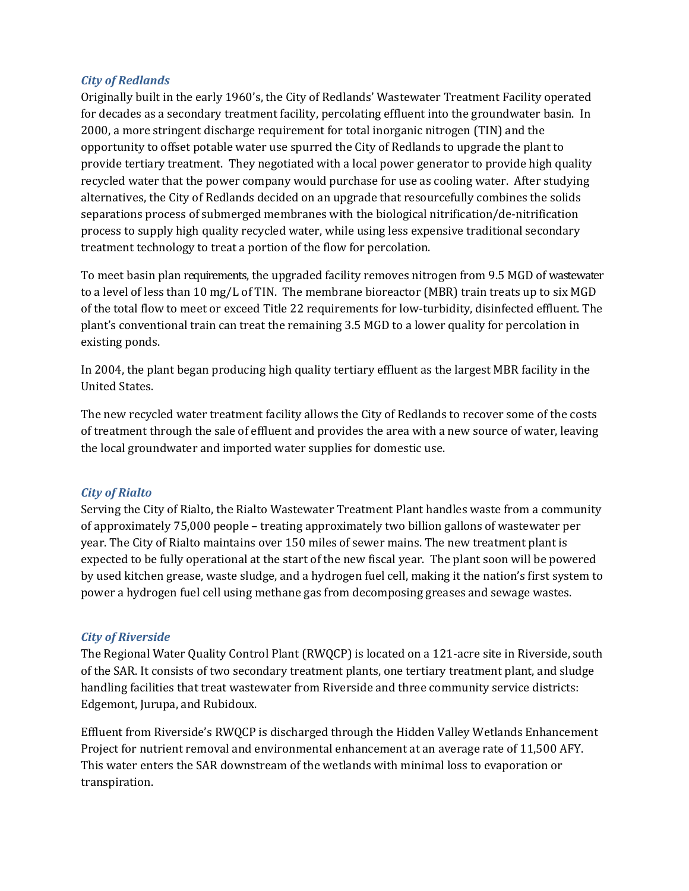## *City of Redlands*

Originally built in the early 1960's, the City of Redlands' Wastewater Treatment Facility operated for decades as a secondary treatment facility, percolating effluent into the groundwater basin. In 2000, a more stringent discharge requirement for total inorganic nitrogen (TIN) and the opportunity to offset potable water use spurred the City of Redlands to upgrade the plant to provide tertiary treatment. They negotiated with a local power generator to provide high quality recycled water that the power company would purchase for use as cooling water. After studying alternatives, the City of Redlands decided on an upgrade that resourcefully combines the solids separations process of submerged membranes with the biological nitrification/de-nitrification process to supply high quality recycled water, while using less expensive traditional secondary treatment technology to treat a portion of the flow for percolation.

To meet basin plan requirements, the upgraded facility removes nitrogen from 9.5 MGD of wastewater to a level of less than 10 mg/L of TIN. The membrane bioreactor (MBR) train treats up to six MGD of the total flow to meet or exceed Title 22 requirements for low‐turbidity, disinfected effluent. The plant's conventional train can treat the remaining 3.5 MGD to a lower quality for percolation in existing ponds.

In 2004, the plant began producing high quality tertiary effluent as the largest MBR facility in the United States.

The new recycled water treatment facility allows the City of Redlands to recover some of the costs of treatment through the sale of effluent and provides the area with a new source of water, leaving the local groundwater and imported water supplies for domestic use.

#### *City of Rialto*

Serving the City of Rialto, the Rialto Wastewater Treatment Plant handles waste from a community of approximately 75,000 people – treating approximately two billion gallons of wastewater per year. The City of Rialto maintains over 150 miles of sewer mains. The new treatment plant is expected to be fully operational at the start of the new fiscal year. The plant soon will be powered by used kitchen grease, waste sludge, and a hydrogen fuel cell, making it the nation's first system to power a hydrogen fuel cell using methane gas from decomposing greases and sewage wastes.

## *City of Riverside*

The Regional Water Quality Control Plant (RWQCP) is located on a 121-acre site in Riverside, south of the SAR. It consists of two secondary treatment plants, one tertiary treatment plant, and sludge handling facilities that treat wastewater from Riverside and three community service districts: Edgemont, Jurupa, and Rubidoux.

Effluent from Riverside's RWQCP is discharged through the Hidden Valley Wetlands Enhancement Project for nutrient removal and environmental enhancement at an average rate of 11,500 AFY. This water enters the SAR downstream of the wetlands with minimal loss to evaporation or transpiration.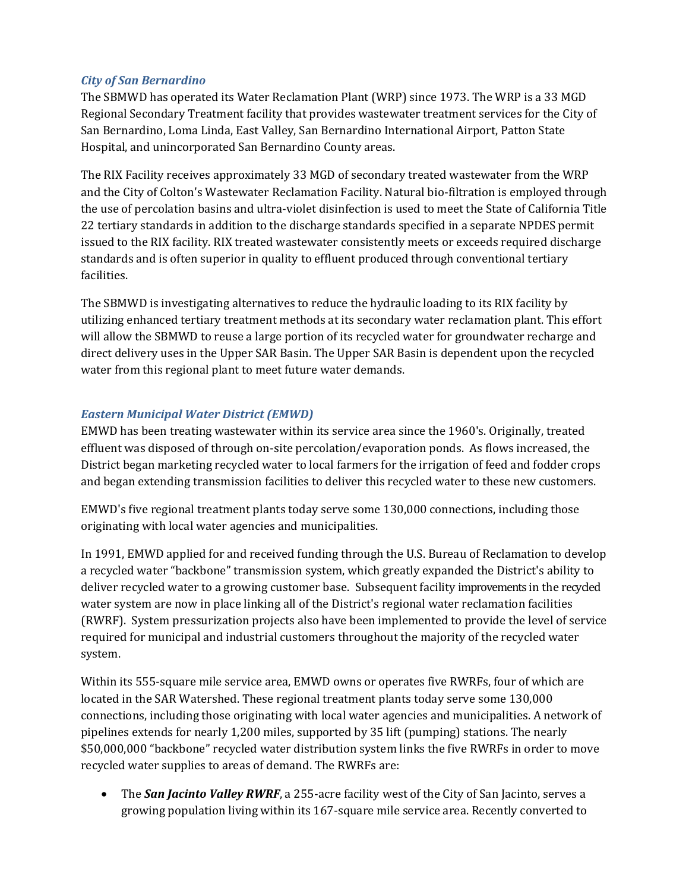## *City of San Bernardino*

The SBMWD has operated its Water Reclamation Plant (WRP) since 1973. The WRP is a 33 MGD Regional Secondary Treatment facility that provides wastewater treatment services for the City of San Bernardino, Loma Linda, East Valley, San Bernardino International Airport, Patton State Hospital, and unincorporated San Bernardino County areas.

The RIX Facility receives approximately 33 MGD of secondary treated wastewater from the WRP and the City of Colton's Wastewater Reclamation Facility. Natural bio‐filtration is employed through the use of percolation basins and ultra‐violet disinfection is used to meet the State of California Title 22 tertiary standards in addition to the discharge standards specified in a separate NPDES permit issued to the RIX facility. RIX treated wastewater consistently meets or exceeds required discharge standards and is often superior in quality to effluent produced through conventional tertiary facilities.

The SBMWD is investigating alternatives to reduce the hydraulic loading to its RIX facility by utilizing enhanced tertiary treatment methods at its secondary water reclamation plant. This effort will allow the SBMWD to reuse a large portion of its recycled water for groundwater recharge and direct delivery uses in the Upper SAR Basin. The Upper SAR Basin is dependent upon the recycled water from this regional plant to meet future water demands.

## *Eastern Municipal Water District (EMWD)*

EMWD has been treating wastewater within its service area since the 1960's. Originally, treated effluent was disposed of through on‐site percolation/evaporation ponds. As flows increased, the District began marketing recycled water to local farmers for the irrigation of feed and fodder crops and began extending transmission facilities to deliver this recycled water to these new customers.

EMWD's five regional treatment plants today serve some 130,000 connections, including those originating with local water agencies and municipalities.

In 1991, EMWD applied for and received funding through the U.S. Bureau of Reclamation to develop a recycled water "backbone" transmission system, which greatly expanded the District's ability to deliver recycled water to a growing customer base. Subsequent facility improvements in the recycled water system are now in place linking all of the District's regional water reclamation facilities (RWRF). System pressurization projects also have been implemented to provide the level of service required for municipal and industrial customers throughout the majority of the recycled water system.

Within its 555‐square mile service area, EMWD owns or operates five RWRFs, four of which are located in the SAR Watershed. These regional treatment plants today serve some 130,000 connections, including those originating with local water agencies and municipalities. A network of pipelines extends for nearly 1,200 miles, supported by 35 lift (pumping) stations. The nearly \$50,000,000 "backbone" recycled water distribution system links the five RWRFs in order to move recycled water supplies to areas of demand. The RWRFs are:

 The *San Jacinto Valley RWRF*, a 255‐acre facility west of the City of San Jacinto, serves a growing population living within its 167‐square mile service area. Recently converted to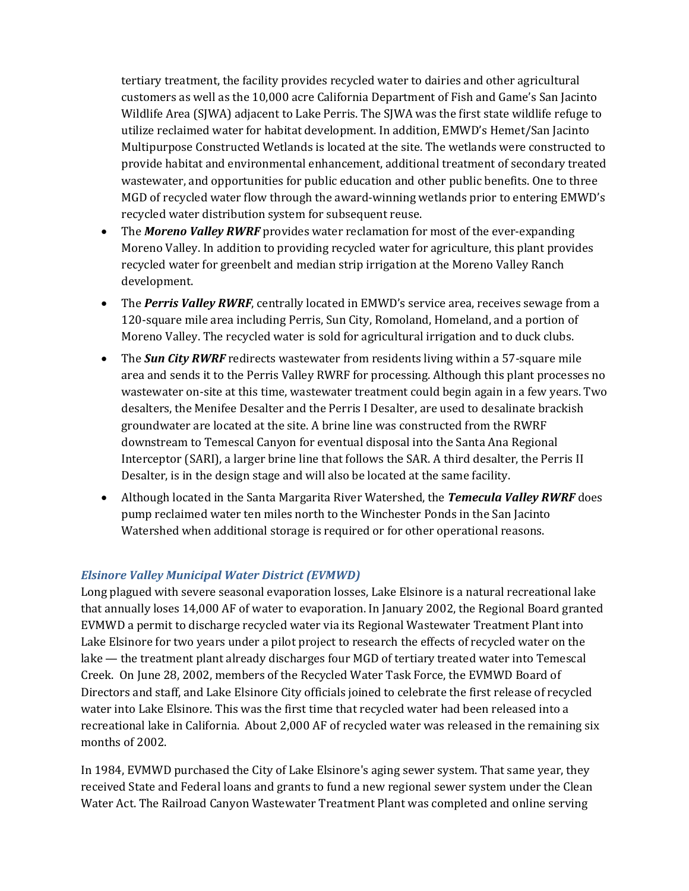tertiary treatment, the facility provides recycled water to dairies and other agricultural customers as well as the 10,000 acre California Department of Fish and Game's San Jacinto Wildlife Area (SJWA) adjacent to Lake Perris. The SJWA was the first state wildlife refuge to utilize reclaimed water for habitat development. In addition, EMWD's Hemet/San Jacinto Multipurpose Constructed Wetlands is located at the site. The wetlands were constructed to provide habitat and environmental enhancement, additional treatment of secondary treated wastewater, and opportunities for public education and other public benefits. One to three MGD of recycled water flow through the award‐winning wetlands prior to entering EMWD's recycled water distribution system for subsequent reuse.

- The *Moreno Valley RWRF* provides water reclamation for most of the ever-expanding Moreno Valley. In addition to providing recycled water for agriculture, this plant provides recycled water for greenbelt and median strip irrigation at the Moreno Valley Ranch development.
- The *Perris Valley RWRF*, centrally located in EMWD's service area, receives sewage from a 120‐square mile area including Perris, Sun City, Romoland, Homeland, and a portion of Moreno Valley. The recycled water is sold for agricultural irrigation and to duck clubs.
- The *Sun City RWRF* redirects wastewater from residents living within a 57-square mile area and sends it to the Perris Valley RWRF for processing. Although this plant processes no wastewater on‐site at this time, wastewater treatment could begin again in a few years. Two desalters, the Menifee Desalter and the Perris I Desalter, are used to desalinate brackish groundwater are located at the site. A brine line was constructed from the RWRF downstream to Temescal Canyon for eventual disposal into the Santa Ana Regional Interceptor (SARI), a larger brine line that follows the SAR. A third desalter, the Perris II Desalter, is in the design stage and will also be located at the same facility.
- Although located in the Santa Margarita River Watershed, the *Temecula Valley RWRF* does pump reclaimed water ten miles north to the Winchester Ponds in the San Jacinto Watershed when additional storage is required or for other operational reasons.

## *Elsinore Valley Municipal Water District (EVMWD)*

Long plagued with severe seasonal evaporation losses, Lake Elsinore is a natural recreational lake that annually loses 14,000 AF of water to evaporation. In January 2002, the Regional Board granted EVMWD a permit to discharge recycled water via its Regional Wastewater Treatment Plant into Lake Elsinore for two years under a pilot project to research the effects of recycled water on the lake — the treatment plant already discharges four MGD of tertiary treated water into Temescal Creek. On June 28, 2002, members of the Recycled Water Task Force, the EVMWD Board of Directors and staff, and Lake Elsinore City officials joined to celebrate the first release of recycled water into Lake Elsinore. This was the first time that recycled water had been released into a recreational lake in California. About 2,000 AF of recycled water was released in the remaining six months of 2002.

In 1984, EVMWD purchased the City of Lake Elsinore's aging sewer system. That same year, they received State and Federal loans and grants to fund a new regional sewer system under the Clean Water Act. The Railroad Canyon Wastewater Treatment Plant was completed and online serving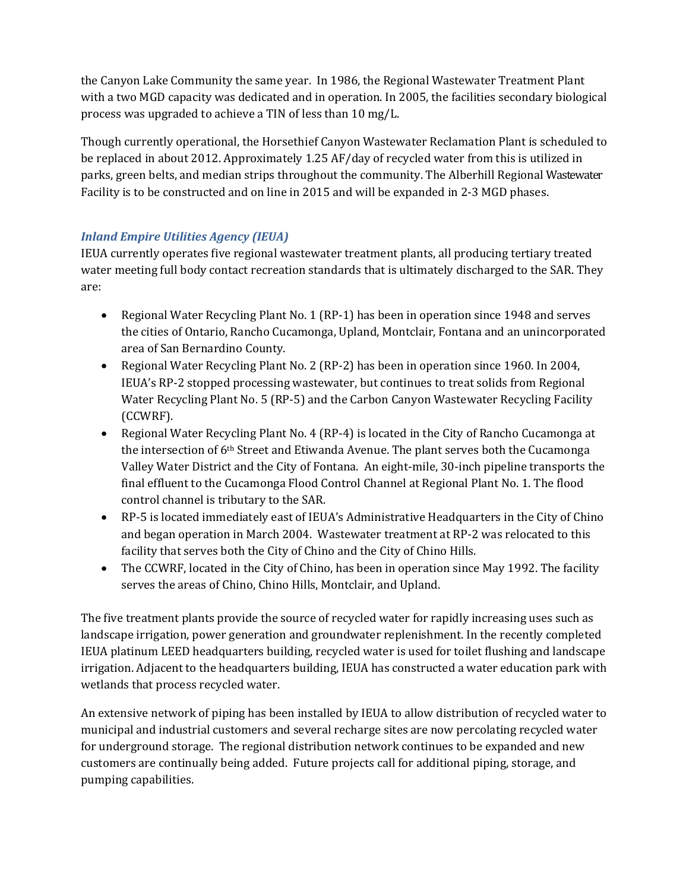the Canyon Lake Community the same year. In 1986, the Regional Wastewater Treatment Plant with a two MGD capacity was dedicated and in operation. In 2005, the facilities secondary biological process was upgraded to achieve a TIN of less than 10 mg/L.

Though currently operational, the Horsethief Canyon Wastewater Reclamation Plant is scheduled to be replaced in about 2012. Approximately 1.25 AF/day of recycled water from this is utilized in parks, green belts, and median strips throughout the community. The Alberhill Regional Wastewater Facility is to be constructed and on line in 2015 and will be expanded in 2‐3 MGD phases.

## *Inland Empire Utilities Agency (IEUA)*

IEUA currently operates five regional wastewater treatment plants, all producing tertiary treated water meeting full body contact recreation standards that is ultimately discharged to the SAR. They are:

- Regional Water Recycling Plant No. 1 (RP‐1) has been in operation since 1948 and serves the cities of Ontario, Rancho Cucamonga, Upland, Montclair, Fontana and an unincorporated area of San Bernardino County.
- Regional Water Recycling Plant No. 2 (RP‐2) has been in operation since 1960. In 2004, IEUA's RP‐2 stopped processing wastewater, but continues to treat solids from Regional Water Recycling Plant No. 5 (RP‐5) and the Carbon Canyon Wastewater Recycling Facility (CCWRF).
- Regional Water Recycling Plant No. 4 (RP‐4) is located in the City of Rancho Cucamonga at the intersection of 6th Street and Etiwanda Avenue. The plant serves both the Cucamonga Valley Water District and the City of Fontana. An eight‐mile, 30‐inch pipeline transports the final effluent to the Cucamonga Flood Control Channel at Regional Plant No. 1. The flood control channel is tributary to the SAR.
- RP-5 is located immediately east of IEUA's Administrative Headquarters in the City of Chino and began operation in March 2004. Wastewater treatment at RP‐2 was relocated to this facility that serves both the City of Chino and the City of Chino Hills.
- The CCWRF, located in the City of Chino, has been in operation since May 1992. The facility serves the areas of Chino, Chino Hills, Montclair, and Upland.

The five treatment plants provide the source of recycled water for rapidly increasing uses such as landscape irrigation, power generation and groundwater replenishment. In the recently completed IEUA platinum LEED headquarters building, recycled water is used for toilet flushing and landscape irrigation. Adjacent to the headquarters building, IEUA has constructed a water education park with wetlands that process recycled water.

An extensive network of piping has been installed by IEUA to allow distribution of recycled water to municipal and industrial customers and several recharge sites are now percolating recycled water for underground storage. The regional distribution network continues to be expanded and new customers are continually being added. Future projects call for additional piping, storage, and pumping capabilities.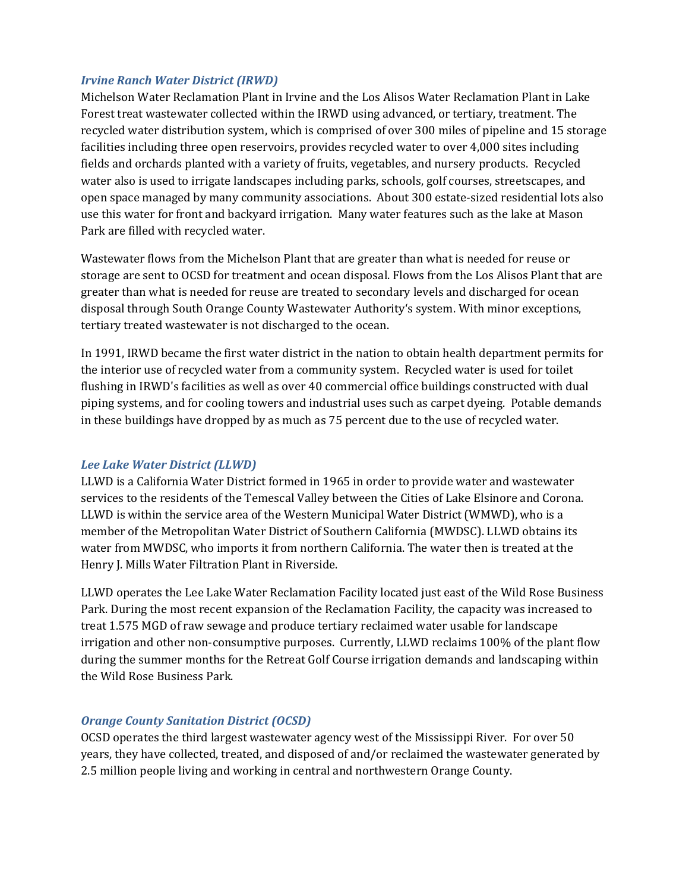#### *Irvine Ranch Water District (IRWD)*

Michelson Water Reclamation Plant in Irvine and the Los Alisos Water Reclamation Plant in Lake Forest treat wastewater collected within the IRWD using advanced, or tertiary, treatment. The recycled water distribution system, which is comprised of over 300 miles of pipeline and 15 storage facilities including three open reservoirs, provides recycled water to over 4,000 sites including fields and orchards planted with a variety of fruits, vegetables, and nursery products. Recycled water also is used to irrigate landscapes including parks, schools, golf courses, streetscapes, and open space managed by many community associations. About 300 estate‐sized residential lots also use this water for front and backyard irrigation. Many water features such as the lake at Mason Park are filled with recycled water.

Wastewater flows from the Michelson Plant that are greater than what is needed for reuse or storage are sent to OCSD for treatment and ocean disposal. Flows from the Los Alisos Plant that are greater than what is needed for reuse are treated to secondary levels and discharged for ocean disposal through South Orange County Wastewater Authority's system. With minor exceptions, tertiary treated wastewater is not discharged to the ocean.

In 1991, IRWD became the first water district in the nation to obtain health department permits for the interior use of recycled water from a community system. Recycled water is used for toilet flushing in IRWD's facilities as well as over 40 commercial office buildings constructed with dual piping systems, and for cooling towers and industrial uses such as carpet dyeing. Potable demands in these buildings have dropped by as much as 75 percent due to the use of recycled water.

#### *Lee Lake Water District (LLWD)*

LLWD is a California Water District formed in 1965 in order to provide water and wastewater services to the residents of the Temescal Valley between the Cities of Lake Elsinore and Corona. LLWD is within the service area of the Western Municipal Water District (WMWD), who is a member of the Metropolitan Water District of Southern California (MWDSC). LLWD obtains its water from MWDSC, who imports it from northern California. The water then is treated at the Henry J. Mills Water Filtration Plant in Riverside.

LLWD operates the Lee Lake Water Reclamation Facility located just east of the Wild Rose Business Park. During the most recent expansion of the Reclamation Facility, the capacity was increased to treat 1.575 MGD of raw sewage and produce tertiary reclaimed water usable for landscape irrigation and other non-consumptive purposes. Currently, LLWD reclaims 100% of the plant flow during the summer months for the Retreat Golf Course irrigation demands and landscaping within the Wild Rose Business Park.

## *Orange County Sanitation District (OCSD)*

OCSD operates the third largest wastewater agency west of the Mississippi River. For over 50 years, they have collected, treated, and disposed of and/or reclaimed the wastewater generated by 2.5 million people living and working in central and northwestern Orange County.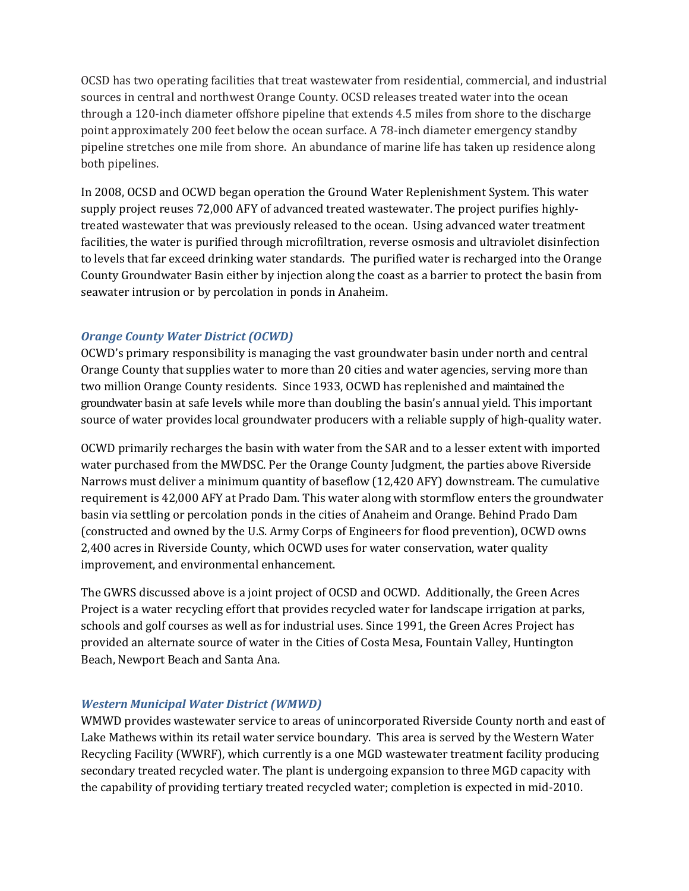OCSD has two operating facilities that treat wastewater from residential, commercial, and industrial sources in central and northwest Orange County. OCSD releases treated water into the ocean through a 120‐inch diameter offshore pipeline that extends 4.5 miles from shore to the discharge point approximately 200 feet below the ocean surface. A 78‐inch diameter emergency standby pipeline stretches one mile from shore. An abundance of marine life has taken up residence along both pipelines.

In 2008, OCSD and OCWD began operation the Ground Water Replenishment System. This water supply project reuses 72,000 AFY of advanced treated wastewater. The project purifies highlytreated wastewater that was previously released to the ocean. Using advanced water treatment facilities, the water is purified through microfiltration, reverse osmosis and ultraviolet disinfection to levels that far exceed drinking water standards. The purified water is recharged into the Orange County Groundwater Basin either by injection along the coast as a barrier to protect the basin from seawater intrusion or by percolation in ponds in Anaheim.

## *Orange County Water District (OCWD)*

OCWD's primary responsibility is managing the vast groundwater basin under north and central Orange County that supplies water to more than 20 cities and water agencies, serving more than two million Orange County residents. Since 1933, OCWD has replenished and maintained the groundwater basin at safe levels while more than doubling the basin's annual yield. This important source of water provides local groundwater producers with a reliable supply of high-quality water.

OCWD primarily recharges the basin with water from the SAR and to a lesser extent with imported water purchased from the MWDSC. Per the Orange County Judgment, the parties above Riverside Narrows must deliver a minimum quantity of baseflow (12,420 AFY) downstream. The cumulative requirement is 42,000 AFY at Prado Dam. This water along with stormflow enters the groundwater basin via settling or percolation ponds in the cities of Anaheim and Orange. Behind Prado Dam (constructed and owned by the U.S. Army Corps of Engineers for flood prevention), OCWD owns 2,400 acres in Riverside County, which OCWD uses for water conservation, water quality improvement, and environmental enhancement.

The GWRS discussed above is a joint project of OCSD and OCWD. Additionally, the Green Acres Project is a water recycling effort that provides recycled water for landscape irrigation at parks, schools and golf courses as well as for industrial uses. Since 1991, the Green Acres Project has provided an alternate source of water in the Cities of Costa Mesa, Fountain Valley, Huntington Beach, Newport Beach and Santa Ana.

## *Western Municipal Water District (WMWD)*

WMWD provides wastewater service to areas of unincorporated Riverside County north and east of Lake Mathews within its retail water service boundary. This area is served by the Western Water Recycling Facility (WWRF), which currently is a one MGD wastewater treatment facility producing secondary treated recycled water. The plant is undergoing expansion to three MGD capacity with the capability of providing tertiary treated recycled water; completion is expected in mid‐2010.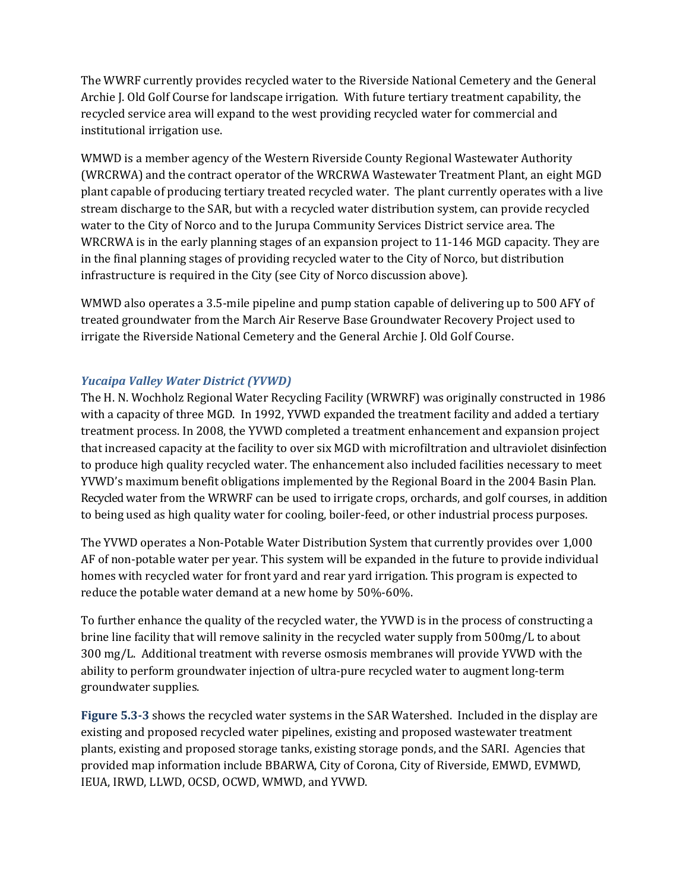The WWRF currently provides recycled water to the Riverside National Cemetery and the General Archie J. Old Golf Course for landscape irrigation. With future tertiary treatment capability, the recycled service area will expand to the west providing recycled water for commercial and institutional irrigation use.

WMWD is a member agency of the Western Riverside County Regional Wastewater Authority (WRCRWA) and the contract operator of the WRCRWA Wastewater Treatment Plant, an eight MGD plant capable of producing tertiary treated recycled water. The plant currently operates with a live stream discharge to the SAR, but with a recycled water distribution system, can provide recycled water to the City of Norco and to the Jurupa Community Services District service area. The WRCRWA is in the early planning stages of an expansion project to 11-146 MGD capacity. They are in the final planning stages of providing recycled water to the City of Norco, but distribution infrastructure is required in the City (see City of Norco discussion above).

WMWD also operates a 3.5-mile pipeline and pump station capable of delivering up to 500 AFY of treated groundwater from the March Air Reserve Base Groundwater Recovery Project used to irrigate the Riverside National Cemetery and the General Archie J. Old Golf Course.

## *Yucaipa Valley Water District (YVWD)*

The H. N. Wochholz Regional Water Recycling Facility (WRWRF) was originally constructed in 1986 with a capacity of three MGD. In 1992, YVWD expanded the treatment facility and added a tertiary treatment process. In 2008, the YVWD completed a treatment enhancement and expansion project that increased capacity at the facility to over six MGD with microfiltration and ultraviolet disinfection to produce high quality recycled water. The enhancement also included facilities necessary to meet YVWD's maximum benefit obligations implemented by the Regional Board in the 2004 Basin Plan. Recycled water from the WRWRF can be used to irrigate crops, orchards, and golf courses, in addition to being used as high quality water for cooling, boiler-feed, or other industrial process purposes.

The YVWD operates a Non‐Potable Water Distribution System that currently provides over 1,000 AF of non‐potable water per year. This system will be expanded in the future to provide individual homes with recycled water for front yard and rear yard irrigation. This program is expected to reduce the potable water demand at a new home by 50%‐60%.

To further enhance the quality of the recycled water, the YVWD is in the process of constructing a brine line facility that will remove salinity in the recycled water supply from 500mg/L to about 300 mg/L. Additional treatment with reverse osmosis membranes will provide YVWD with the ability to perform groundwater injection of ultra‐pure recycled water to augment long‐term groundwater supplies.

**Figure 5.33** shows the recycled water systems in the SAR Watershed. Included in the display are existing and proposed recycled water pipelines, existing and proposed wastewater treatment plants, existing and proposed storage tanks, existing storage ponds, and the SARI. Agencies that provided map information include BBARWA, City of Corona, City of Riverside, EMWD, EVMWD, IEUA, IRWD, LLWD, OCSD, OCWD, WMWD, and YVWD.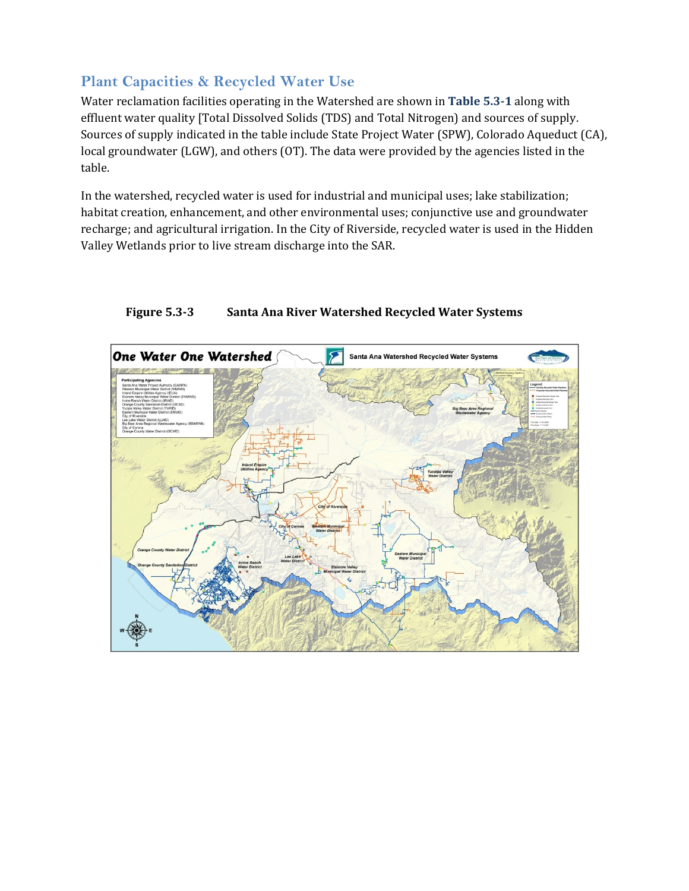# **Plant Capacities & Recycled Water Use**

Water reclamation facilities operating in the Watershed are shown in **Table 5.31** along with effluent water quality [Total Dissolved Solids (TDS) and Total Nitrogen) and sources of supply. Sources of supply indicated in the table include State Project Water (SPW), Colorado Aqueduct (CA), local groundwater (LGW), and others (OT). The data were provided by the agencies listed in the table.

In the watershed, recycled water is used for industrial and municipal uses; lake stabilization; habitat creation, enhancement, and other environmental uses; conjunctive use and groundwater recharge; and agricultural irrigation. In the City of Riverside, recycled water is used in the Hidden Valley Wetlands prior to live stream discharge into the SAR.



## **Figure 5.3<sup>3</sup> Santa Ana River Watershed Recycled Water Systems**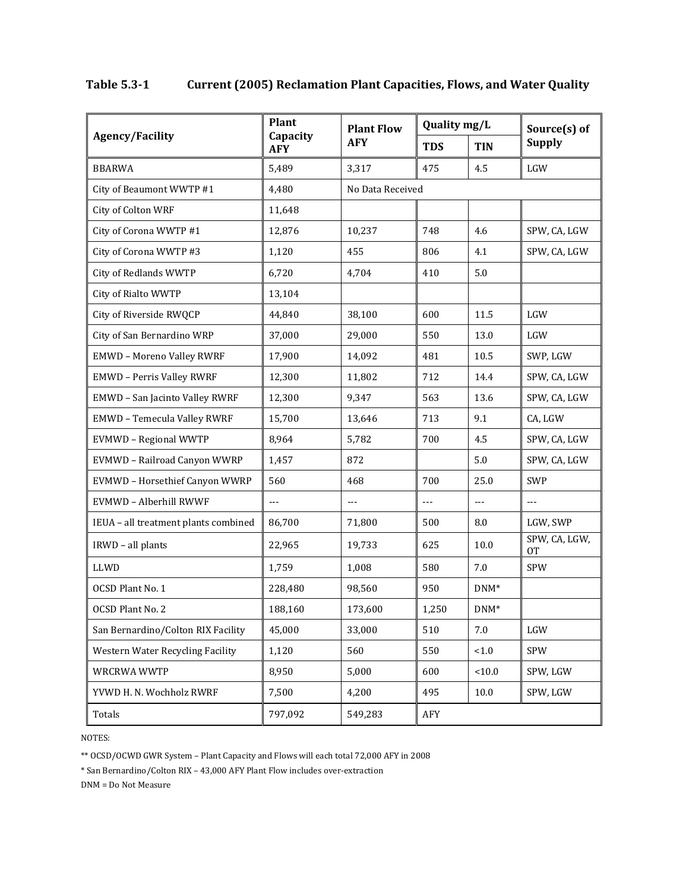|                                      | <b>Plant</b>           | <b>Plant Flow</b> | Quality mg/L |                | Source(s) of        |  |
|--------------------------------------|------------------------|-------------------|--------------|----------------|---------------------|--|
| <b>Agency/Facility</b>               | Capacity<br><b>AFY</b> | <b>AFY</b>        | <b>TDS</b>   | <b>TIN</b>     | <b>Supply</b>       |  |
| <b>BBARWA</b>                        | 5,489                  | 3,317             | 475          | 4.5            | LGW                 |  |
| City of Beaumont WWTP #1             | 4,480                  | No Data Received  |              |                |                     |  |
| City of Colton WRF                   | 11,648                 |                   |              |                |                     |  |
| City of Corona WWTP #1               | 12,876                 | 10,237            | 748          | 4.6            | SPW, CA, LGW        |  |
| City of Corona WWTP #3               | 1,120                  | 455               | 806          | 4.1            | SPW, CA, LGW        |  |
| <b>City of Redlands WWTP</b>         | 6,720                  | 4,704             | 410          | 5.0            |                     |  |
| City of Rialto WWTP                  | 13,104                 |                   |              |                |                     |  |
| City of Riverside RWQCP              | 44,840                 | 38,100            | 600          | 11.5           | LGW                 |  |
| City of San Bernardino WRP           | 37,000                 | 29,000            | 550          | 13.0           | LGW                 |  |
| <b>EMWD - Moreno Valley RWRF</b>     | 17,900                 | 14,092            | 481          | 10.5           | SWP, LGW            |  |
| <b>EMWD - Perris Valley RWRF</b>     | 12,300                 | 11,802            | 712          | 14.4           | SPW, CA, LGW        |  |
| EMWD - San Jacinto Valley RWRF       | 12,300                 | 9,347             | 563          | 13.6           | SPW, CA, LGW        |  |
| <b>EMWD - Temecula Valley RWRF</b>   | 15,700                 | 13,646            | 713          | 9.1            | CA, LGW             |  |
| EVMWD - Regional WWTP                | 8,964                  | 5,782             | 700          | 4.5            | SPW, CA, LGW        |  |
| EVMWD - Railroad Canyon WWRP         | 1,457                  | 872               |              | 5.0            | SPW, CA, LGW        |  |
| EVMWD - Horsethief Canyon WWRP       | 560                    | 468               | 700          | 25.0           | <b>SWP</b>          |  |
| EVMWD - Alberhill RWWF               | $\overline{a}$         | $---$             | $---$        | $\overline{a}$ | ---                 |  |
| IEUA - all treatment plants combined | 86,700                 | 71,800            | 500          | 8.0            | LGW, SWP            |  |
| IRWD - all plants                    | 22,965                 | 19,733            | 625          | 10.0           | SPW, CA, LGW,<br>0T |  |
| LLWD                                 | 1,759                  | 1,008             | 580          | 7.0            | SPW                 |  |
| OCSD Plant No. 1                     | 228,480                | 98,560            | 950          | $DNM^*$        |                     |  |
| OCSD Plant No. 2                     | 188,160                | 173,600           | 1,250        | $DNM^*$        |                     |  |
| San Bernardino/Colton RIX Facility   | 45,000                 | 33,000            | 510          | $7.0\,$        | $_{\rm LGW}$        |  |
| Western Water Recycling Facility     | 1,120                  | 560               | 550          | $<1.0$         | SPW                 |  |
| <b>WRCRWA WWTP</b>                   | 8,950                  | 5,000             | 600          | 10.0           | SPW, LGW            |  |
| YVWD H. N. Wochholz RWRF             | 7,500                  | 4,200             | 495          | $10.0\,$       | SPW, LGW            |  |
| Totals                               | 797,092                | 549,283           | AFY          |                |                     |  |

## **Table 5.31 Current (2005) Reclamation Plant Capacities, Flows, and Water Quality**

NOTES:

\*\* OCSD/OCWD GWR System – Plant Capacity and Flows will each total 72,000 AFY in 2008

\* San Bernardino/Colton RIX – 43,000 AFY Plant Flow includes over‐extraction

DNM = Do Not Measure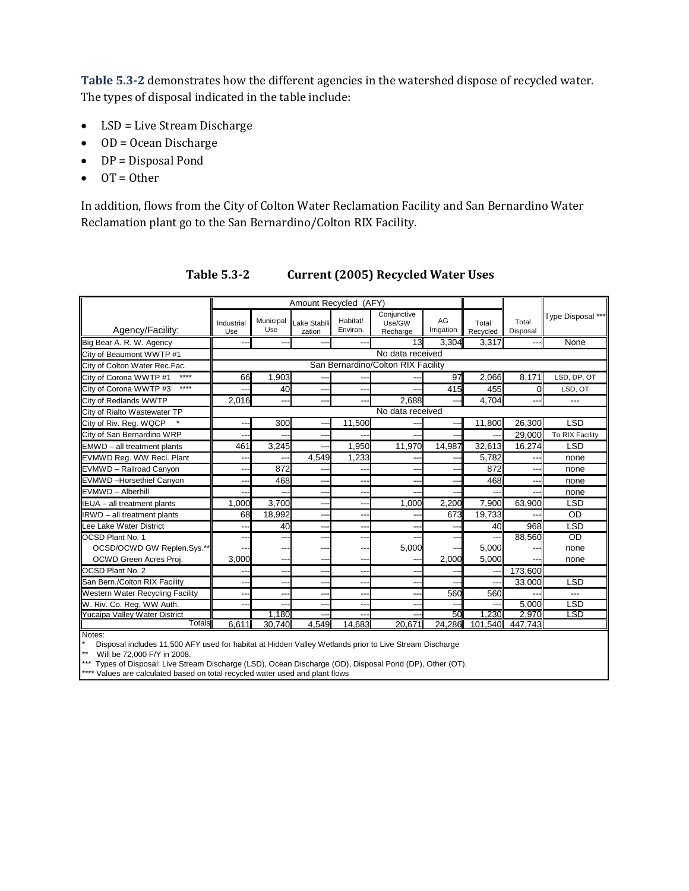**Table 5.32** demonstrates how the different agencies in the watershed dispose of recycled water. The types of disposal indicated in the table include:

- LSD = Live Stream Discharge
- OD = Ocean Discharge
- DP = Disposal Pond
- $\bullet$  OT = Other

In addition, flows from the City of Colton Water Reclamation Facility and San Bernardino Water Reclamation plant go to the San Bernardino/Colton RIX Facility.

|                                         |                   |                                    | Amount Recycled (AFY)    |                      |                                   |                          |                   |                          |                   |  |
|-----------------------------------------|-------------------|------------------------------------|--------------------------|----------------------|-----------------------------------|--------------------------|-------------------|--------------------------|-------------------|--|
| Agency/Facility:                        | Industrial<br>Use | Municipal<br>Use                   | ake Stabili<br>zation    | Habitat/<br>Environ. | Conjunctive<br>Use/GW<br>Recharge | AG<br>Irrigation         | Total<br>Recycled | Total<br>Disposal        | Type Disposal *** |  |
| Big Bear A. R. W. Agency                |                   |                                    |                          |                      | 13                                | 3.304                    | 3,317             |                          | None              |  |
| City of Beaumont WWTP #1                |                   | No data received                   |                          |                      |                                   |                          |                   |                          |                   |  |
| City of Colton Water Rec.Fac.           |                   | San Bernardino/Colton RIX Facility |                          |                      |                                   |                          |                   |                          |                   |  |
| ****<br>City of Corona WWTP #1          | 66                | 1,903                              |                          |                      |                                   | 97                       | 2,066             | 8,171                    | LSD, DP, OT       |  |
| ****<br>City of Corona WWTP #3          |                   | 40                                 | --                       | ---                  |                                   | 415                      | 455               |                          | LSD, OT           |  |
| City of Redlands WWTP                   | 2,016             | ---                                | --                       | ---                  | 2,688                             |                          | 4,704             |                          |                   |  |
| City of Rialto Wastewater TP            |                   | No data received                   |                          |                      |                                   |                          |                   |                          |                   |  |
| City of Riv. Reg. WQCP                  |                   | 300                                | --                       | 11.500               |                                   |                          | 11,800            | 26,300                   | <b>LSD</b>        |  |
| City of San Bernardino WRP              |                   |                                    | --                       |                      |                                   |                          |                   | 29.000                   | To RIX Facility   |  |
| EMWD - all treatment plants             | 461               | 3.245                              | $\overline{\phantom{a}}$ | 1,950                | 11.970                            | 14,987                   | 32.613            | 16.274                   | <b>LSD</b>        |  |
| EVMWD Reg. WW Recl. Plant               | --                | ---                                | 4,549                    | 1,233                | --                                | $-$                      | 5.782             | $\overline{\phantom{a}}$ | none              |  |
| EVMWD - Railroad Canyon                 | --                | 872                                | --                       | --                   | --                                | $\overline{\phantom{a}}$ | 872               | $\overline{a}$           | none              |  |
| EVMWD-Horsethief Canyon                 | --                | 468                                | --                       | ---                  | --                                | --                       | 468               | --                       | none              |  |
| EVMWD - Alberhill                       |                   |                                    | --                       | $- -$                |                                   |                          |                   | --                       | none              |  |
| IEUA - all treatment plants             | 1.000             | 3,700                              | --                       | $- -$                | 1.000                             | 2,200                    | 7.900             | 63.900                   | <b>LSD</b>        |  |
| IRWD - all treatment plants             | 68                | 18,992                             | --                       | $--$                 |                                   | 673                      | 19,733            |                          | <b>OD</b>         |  |
| Lee Lake Water District                 | --                | 40                                 | --                       | $- -$                |                                   |                          | 40                | 968                      | <b>LSD</b>        |  |
| <b>OCSD Plant No. 1</b>                 | --                | ---                                | --                       | ---                  |                                   |                          | ---               | 88,560                   | OD                |  |
| OCSD/OCWD GW Replen.Sys.*               |                   | ---                                | --                       | ---                  | 5,000                             |                          | 5.000             |                          | none              |  |
| OCWD Green Acres Proj.                  | 3.000             | ---                                | --                       | ---                  |                                   | 2.000                    | 5,000             |                          | none              |  |
| <b>OCSD Plant No. 2</b>                 | --                | ---                                | --                       | $- -$                | --                                | --                       | --                | 173,600                  |                   |  |
| San Bern./Colton RIX Facility           | --                | ---                                | --                       | --                   | --                                |                          | --                | 33,000                   | <b>LSD</b>        |  |
| Western Water Recycling Facility        |                   | $\overline{a}$                     | --                       | --                   | --                                | 560                      | 560               |                          | ---               |  |
| W. Riv. Co. Reg. WW Auth.               | --                | ---                                | --                       | $-$                  | --                                | ٠.                       |                   | 5.000                    | LSD               |  |
| Yucaipa Valley Water District<br>Totals |                   | 1.180                              | --                       | --                   |                                   | 50                       | 1.230             | 2.970                    | LSD               |  |
| Notes:                                  | 6.611             | 30.740                             | 4.549                    | 14.683               | 20.671                            | 24.286                   | 101.540           | 447.743                  |                   |  |

#### **Table 5.32 Current (2005) Recycled Water Uses**

Disposal includes 11,500 AFY used for habitat at Hidden Valley Wetlands prior to Live Stream Discharge

Will be 72,000 F/Y in 2008.

\*\*\* Types of Disposal: Live Stream Discharge (LSD), Ocean Discharge (OD), Disposal Pond (DP), Other (OT).

\*\*\*\* Values are calculated based on total recycled water used and plant flows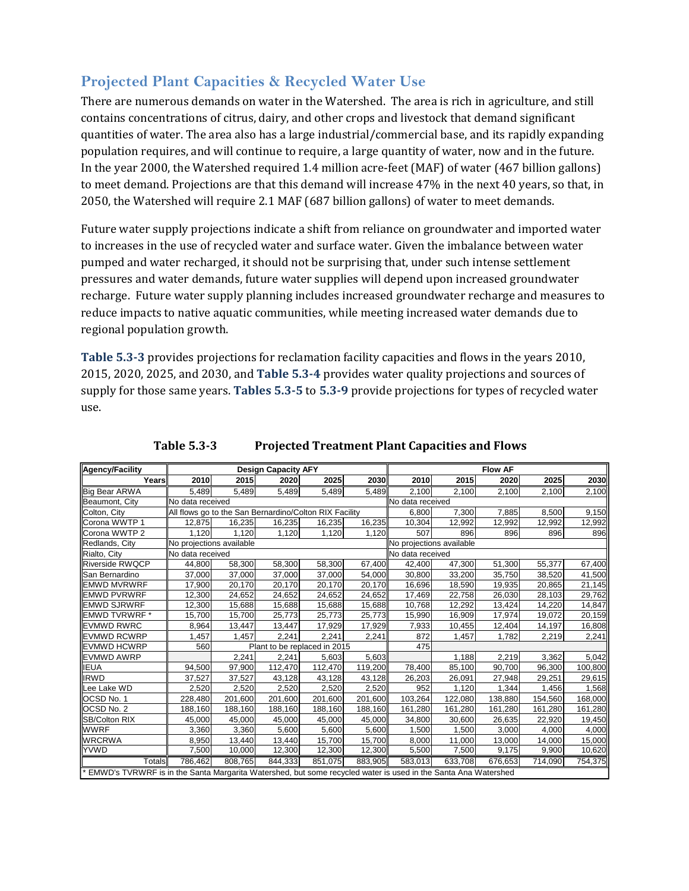# **Projected Plant Capacities & Recycled Water Use**

There are numerous demands on water in the Watershed. The area is rich in agriculture, and still contains concentrations of citrus, dairy, and other crops and livestock that demand significant quantities of water. The area also has a large industrial/commercial base, and its rapidly expanding population requires, and will continue to require, a large quantity of water, now and in the future. In the year 2000, the Watershed required 1.4 million acre-feet (MAF) of water (467 billion gallons) to meet demand. Projections are that this demand will increase 47% in the next 40 years, so that, in 2050, the Watershed will require 2.1 MAF (687 billion gallons) of water to meet demands.

Future water supply projections indicate a shift from reliance on groundwater and imported water to increases in the use of recycled water and surface water. Given the imbalance between water pumped and water recharged, it should not be surprising that, under such intense settlement pressures and water demands, future water supplies will depend upon increased groundwater recharge. Future water supply planning includes increased groundwater recharge and measures to reduce impacts to native aquatic communities, while meeting increased water demands due to regional population growth.

**Table 5.33** provides projections for reclamation facility capacities and flows in the years 2010, 2015, 2020, 2025, and 2030, and **Table 5.34** provides water quality projections and sources of supply for those same years. **Tables 5.35** to **5.39** provide projections for types of recycled water use.

| Agency/Facility                                                                                                 |                          |                                                        | <b>Design Capacity AFY</b> |                              |         | <b>Flow AF</b>   |                          |         |         |         |  |
|-----------------------------------------------------------------------------------------------------------------|--------------------------|--------------------------------------------------------|----------------------------|------------------------------|---------|------------------|--------------------------|---------|---------|---------|--|
| Years                                                                                                           | 2010                     | 2015                                                   | 2020                       | 2025                         | 2030    | 2010             | 2015                     | 2020    | 2025    | 2030    |  |
| <b>Big Bear ARWA</b>                                                                                            | 5,489                    | 5,489                                                  | 5,489                      | 5,489                        | 5,489   | 2,100            | 2,100                    | 2,100   | 2,100   | 2,100   |  |
| Beaumont, City                                                                                                  | No data received         |                                                        |                            |                              |         | No data received |                          |         |         |         |  |
| Colton, City                                                                                                    |                          | All flows go to the San Bernardino/Colton RIX Facility |                            |                              |         | 6.800            | 7,300                    | 7,885   | 8.500   | 9,150   |  |
| Corona WWTP 1                                                                                                   | 12,875                   | 16,235                                                 | 16,235                     | 16,235                       | 16,235  | 10,304           | 12,992                   | 12,992  | 12,992  | 12,992  |  |
| Corona WWTP 2                                                                                                   | 1,120                    | 1,120                                                  | 1,120                      | 1,120                        | 1,120   | 507              | 896                      | 896     | 896     | 896     |  |
| Redlands, City                                                                                                  | No projections available |                                                        |                            |                              |         |                  | No projections available |         |         |         |  |
| Rialto, City                                                                                                    | No data received         |                                                        |                            |                              |         | No data received |                          |         |         |         |  |
| <b>Riverside RWQCP</b>                                                                                          | 44,800                   | 58,300                                                 | 58,300                     | 58,300                       | 67,400  | 42,400           | 47,300                   | 51,300  | 55,377  | 67,400  |  |
| San Bernardino                                                                                                  | 37,000                   | 37,000                                                 | 37,000                     | 37,000                       | 54,000  | 30,800           | 33,200                   | 35,750  | 38,520  | 41,500  |  |
| <b>EMWD MVRWRF</b>                                                                                              | 17,900                   | 20,170                                                 | 20,170                     | 20,170                       | 20,170  | 16,696           | 18,590                   | 19,935  | 20,865  | 21,145  |  |
| <b>EMWD PVRWRF</b>                                                                                              | 12,300                   | 24,652                                                 | 24,652                     | 24,652                       | 24,652  | 17,469           | 22,758                   | 26,030  | 28,103  | 29,762  |  |
| <b>EMWD SJRWRF</b>                                                                                              | 12,300                   | 15,688                                                 | 15,688                     | 15,688                       | 15,688  | 10,768           | 12,292                   | 13,424  | 14,220  | 14,847  |  |
| <b>EMWD TVRWRF *</b>                                                                                            | 15,700                   | 15,700                                                 | 25,773                     | 25,773                       | 25,773  | 15,990           | 16,909                   | 17,974  | 19,072  | 20,159  |  |
| <b>EVMWD RWRC</b>                                                                                               | 8,964                    | 13,447                                                 | 13,447                     | 17,929                       | 17,929  | 7,933            | 10,455                   | 12,404  | 14,197  | 16,808  |  |
| <b>EVMWD RCWRP</b>                                                                                              | 1,457                    | 1,457                                                  | 2,241                      | 2,241                        | 2,241   | 872              | 1,457                    | 1,782   | 2,219   | 2,241   |  |
| <b>EVMWD HCWRP</b>                                                                                              | 560                      |                                                        |                            | Plant to be replaced in 2015 |         | 475              |                          |         |         |         |  |
| <b>EVMWD AWRP</b>                                                                                               |                          | 2.241                                                  | 2,241                      | 5,603                        | 5,603   |                  | 1,188                    | 2,219   | 3,362   | 5,042   |  |
| <b>IEUA</b>                                                                                                     | 94,500                   | 97,900                                                 | 112,470                    | 112,470                      | 119,200 | 78,400           | 85,100                   | 90,700  | 96,300  | 100,800 |  |
| <b>IRWD</b>                                                                                                     | 37,527                   | 37,527                                                 | 43,128                     | 43,128                       | 43,128  | 26,203           | 26,091                   | 27,948  | 29,251  | 29,615  |  |
| Lee Lake WD                                                                                                     | 2,520                    | 2,520                                                  | 2,520                      | 2,520                        | 2,520   | 952              | 1,120                    | 1,344   | 1,456   | 1,568   |  |
| OCSD No. 1                                                                                                      | 228,480                  | 201,600                                                | 201,600                    | 201,600                      | 201,600 | 103,264          | 122,080                  | 138,880 | 154,560 | 168,000 |  |
| OCSD No. 2                                                                                                      | 188,160                  | 188,160                                                | 188,160                    | 188,160                      | 188,160 | 161,280          | 161,280                  | 161,280 | 161,280 | 161,280 |  |
| <b>SB/Colton RIX</b>                                                                                            | 45.000                   | 45.000                                                 | 45,000                     | 45,000                       | 45,000  | 34,800           | 30,600                   | 26,635  | 22.920  | 19,450  |  |
| <b>WWRF</b>                                                                                                     | 3,360                    | 3,360                                                  | 5,600                      | 5,600                        | 5,600   | 1,500            | 1,500                    | 3,000   | 4,000   | 4,000   |  |
| <b>WRCRWA</b>                                                                                                   | 8,950                    | 13,440                                                 | 13,440                     | 15,700                       | 15,700  | 8,000            | 11,000                   | 13,000  | 14,000  | 15,000  |  |
| <b>YVWD</b>                                                                                                     | 7,500                    | 10,000                                                 | 12,300                     | 12,300                       | 12,300  | 5,500            | 7.500                    | 9.175   | 9.900   | 10,620  |  |
| Totals                                                                                                          | 786,462                  | 808,765                                                | 844,333                    | 851,075                      | 883,905 | 583,013          | 633,708                  | 676,653 | 714.090 | 754,375 |  |
| * EMWD's TVRWRF is in the Santa Margarita Watershed, but some recycled water is used in the Santa Ana Watershed |                          |                                                        |                            |                              |         |                  |                          |         |         |         |  |

**Table 5.33 Projected Treatment Plant Capacities and Flows**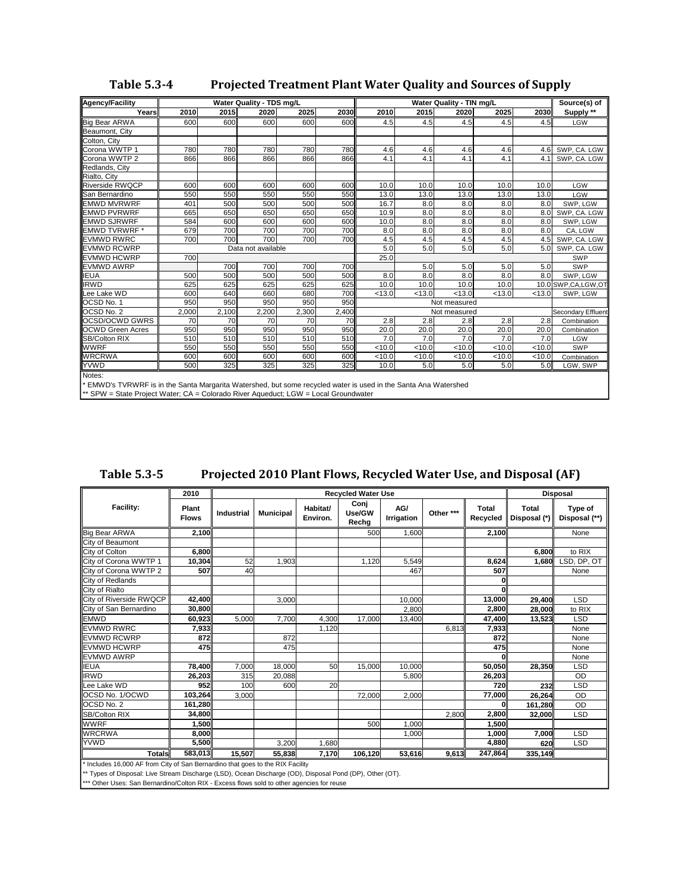| <b>Agency/Facility</b>                                                                                                    |       |       | Water Quality - TDS mg/L |       |       |        |        | Water Quality - TIN mg/L |        |        | Source(s) of       |
|---------------------------------------------------------------------------------------------------------------------------|-------|-------|--------------------------|-------|-------|--------|--------|--------------------------|--------|--------|--------------------|
| Years                                                                                                                     | 2010  | 2015  | 2020                     | 2025  | 2030  | 2010   | 2015   | 2020                     | 2025   | 2030   | Supply **          |
| <b>Big Bear ARWA</b>                                                                                                      | 600   | 600   | 600                      | 600   | 600   | 4.5    | 4.5    | 4.5                      | 4.5    | 4.5    | <b>LGW</b>         |
| Beaumont, City                                                                                                            |       |       |                          |       |       |        |        |                          |        |        |                    |
| Colton, City                                                                                                              |       |       |                          |       |       |        |        |                          |        |        |                    |
| Corona WWTP 1                                                                                                             | 780   | 780   | 780                      | 780   | 780   | 4.6    | 4.6    | 4.6                      | 4.6    | 4.6    | SWP, CA. LGW       |
| Corona WWTP 2                                                                                                             | 866   | 866   | 866                      | 866   | 866   | 4.1    | 4.1    | 4.1                      | 4.1    | 4.1    | SWP, CA. LGW       |
| Redlands, City                                                                                                            |       |       |                          |       |       |        |        |                          |        |        |                    |
| Rialto, City                                                                                                              |       |       |                          |       |       |        |        |                          |        |        |                    |
| <b>Riverside RWQCP</b>                                                                                                    | 600   | 600   | 600                      | 600   | 600   | 10.0   | 10.0   | 10.0                     | 10.0   | 10.0   | <b>LGW</b>         |
| San Bernardino                                                                                                            | 550   | 550   | 550                      | 550   | 550   | 13.0   | 13.0   | 13.0                     | 13.0   | 13.0   | <b>LGW</b>         |
| <b>EMWD MVRWRF</b>                                                                                                        | 401   | 500   | 500                      | 500   | 500   | 16.7   | 8.0    | 8.0                      | 8.0    | 8.0    | SWP, LGW           |
| <b>EMWD PVRWRF</b>                                                                                                        | 665   | 650   | 650                      | 650   | 650   | 10.9   | 8.0    | 8.0                      | 8.0    | 8.0    | SWP, CA. LGW       |
| <b>EMWD SJRWRF</b>                                                                                                        | 584   | 600   | 600                      | 600   | 600   | 10.0   | 8.0    | 8.0                      | 8.0    | 8.0    | SWP, LGW           |
| <b>EMWD TVRWRF*</b>                                                                                                       | 679   | 700   | 700                      | 700   | 700   | 8.0    | 8.0    | 8.0                      | 8.0    | 8.0    | CA, LGW            |
| <b>EVMWD RWRC</b>                                                                                                         | 700   | 700   | 700                      | 700   | 700   | 4.5    | 4.5    | 4.5                      | 4.5    | 4.5    | SWP, CA. LGW       |
| <b>EVMWD RCWRP</b>                                                                                                        |       |       | Data not available       |       |       | 5.0    | 5.0    | 5.0                      | 5.0    | 5.0    | SWP, CA. LGW       |
| <b>EVMWD HCWRP</b>                                                                                                        | 700   |       |                          |       |       | 25.0   |        |                          |        |        | SWP                |
| <b>EVMWD AWRP</b>                                                                                                         |       | 700   | 700                      | 700   | 700   |        | 5.0    | 5.0                      | 5.0    | 5.0    | SWP                |
| <b>IEUA</b>                                                                                                               | 500   | 500   | 500                      | 500   | 500   | 8.0    | 8.0    | 8.0                      | 8.0    | 8.0    | SWP, LGW           |
| <b>IRWD</b>                                                                                                               | 625   | 625   | 625                      | 625   | 625   | 10.0   | 10.0   | 10.0                     | 10.0   |        | 10.0 SWP,CA,LGW,OT |
| Lee Lake WD                                                                                                               | 600   | 640   | 660                      | 680   | 700   | < 13.0 | < 13.0 | < 13.0                   | < 13.0 | < 13.0 | SWP, LGW           |
| OCSD No. 1                                                                                                                | 950   | 950   | 950                      | 950   | 950   |        |        | Not measured             |        |        |                    |
| OCSD No. 2                                                                                                                | 2,000 | 2,100 | 2,200                    | 2,300 | 2,400 |        |        | Not measured             |        |        | Secondary Effluent |
| <b>OCSD/OCWD GWRS</b>                                                                                                     | 70    | 70    | 70                       | 70    | 70    | 2.8    | 2.8    | 2.8                      | 2.8    | 2.8    | Combination        |
| <b>OCWD Green Acres</b>                                                                                                   | 950   | 950   | 950                      | 950   | 950   | 20.0   | 20.0   | 20.0                     | 20.0   | 20.0   | Combination        |
| <b>SB/Colton RIX</b>                                                                                                      | 510   | 510   | 510                      | 510   | 510   | 7.0    | 7.0    | 7.0                      | 7.0    | 7.0    | LGW                |
| <b>WWRF</b>                                                                                                               | 550   | 550   | 550                      | 550   | 550   | < 10.0 | < 10.0 | < 10.0                   | < 10.0 | < 10.0 | SWP                |
| <b>WRCRWA</b>                                                                                                             | 600   | 600   | 600                      | 600   | 600   | < 10.0 | < 10.0 | < 10.0                   | < 10.0 | < 10.0 | Combination        |
| <b>YVWD</b>                                                                                                               | 500   | 325   | 325                      | 325   | 325   | 10.0   | 5.0    | 5.0                      | 5.0    | 5.0    | LGW, SWP           |
| Notes:<br>* EMWD's TVRWRF is in the Santa Margarita Watershed, but some recycled water is used in the Santa Ana Watershed |       |       |                          |       |       |        |        |                          |        |        |                    |

\* EMWD's TVRWRF is in the Santa Margarita Watershed, but some recycled water is used in the Santa Ana Watershed \*\* SPW = State Project Water; CA = Colorado River Aqueduct; LGW = Local Groundwater

|                                                                                |                       |            |                  |                      |                           |                   |           |                   | $1.01$ $1.000$ $1.000$ $1.000$ $1.000$ $1.000$ $1.000$ $1.000$ $1.000$ $1.000$ |                          |
|--------------------------------------------------------------------------------|-----------------------|------------|------------------|----------------------|---------------------------|-------------------|-----------|-------------------|--------------------------------------------------------------------------------|--------------------------|
|                                                                                | 2010                  |            |                  |                      | <b>Recycled Water Use</b> |                   |           |                   |                                                                                | <b>Disposal</b>          |
| Facility:                                                                      | Plant<br><b>Flows</b> | Industrial | <b>Municipal</b> | Habitat/<br>Environ. | Conj<br>Use/GW<br>Rechg   | AG/<br>Irrigation | Other *** | Total<br>Recycled | <b>Total</b><br>Disposal (*)                                                   | Type of<br>Disposal (**) |
| Big Bear ARWA                                                                  | 2,100                 |            |                  |                      | 500                       | 1,600             |           | 2,100             |                                                                                | None                     |
| City of Beaumont                                                               |                       |            |                  |                      |                           |                   |           |                   |                                                                                |                          |
| City of Colton                                                                 | 6,800                 |            |                  |                      |                           |                   |           |                   | 6.800                                                                          | to RIX                   |
| City of Corona WWTP 1                                                          | 10,304                | 52         | 1,903            |                      | 1,120                     | 5,549             |           | 8,624             | 1,680                                                                          | LSD, DP, OT              |
| City of Corona WWTP 2                                                          | <b>507</b>            | 40         |                  |                      |                           | 467               |           | 507               |                                                                                | None                     |
| City of Redlands                                                               |                       |            |                  |                      |                           |                   |           |                   |                                                                                |                          |
| City of Rialto                                                                 |                       |            |                  |                      |                           |                   |           |                   |                                                                                |                          |
| City of Riverside RWQCP                                                        | 42,400                |            | 3,000            |                      |                           | 10,000            |           | 13,000            | 29,400                                                                         | <b>LSD</b>               |
| City of San Bernardino                                                         | 30,800                |            |                  |                      |                           | 2,800             |           | 2,800             | 28,000                                                                         | to RIX                   |
| <b>EMWD</b>                                                                    | 60,923                | 5,000      | 7,700            | 4,300                | 17,000                    | 13,400            |           | 47,400            | 13,523                                                                         | <b>LSD</b>               |
| <b>EVMWD RWRC</b>                                                              | 7,933                 |            |                  | 1,120                |                           |                   | 6,813     | 7,933             |                                                                                | None                     |
| <b>EVMWD RCWRP</b>                                                             | 872                   |            | 872              |                      |                           |                   |           | 872               |                                                                                | None                     |
| <b>EVMWD HCWRP</b>                                                             | <b>475II</b>          |            | 475              |                      |                           |                   |           | 475               |                                                                                | None                     |
| <b>EVMWD AWRP</b>                                                              |                       |            |                  |                      |                           |                   |           | O                 |                                                                                | None                     |
| IEUA                                                                           | 78,400                | 7,000      | 18,000           | 50                   | 15,000                    | 10,000            |           | 50,050            | 28,350                                                                         | <b>LSD</b>               |
| <b>IRWD</b>                                                                    | 26,203                | 315        | 20,088           |                      |                           | 5,800             |           | 26,203            |                                                                                | OD                       |
| ee Lake WD                                                                     | 952                   | 100        | 600              | 20                   |                           |                   |           | 720               | 232                                                                            | <b>LSD</b>               |
| OCSD No. 1/OCWD                                                                | 103,264               | 3,000      |                  |                      | 72,000                    | 2,000             |           | 77,000            | 26,264                                                                         | <b>OD</b>                |
| OCSD No. 2                                                                     | 161,280               |            |                  |                      |                           |                   |           |                   | 161,280                                                                        | OD                       |
| SB/Colton RIX                                                                  | 34.800                |            |                  |                      |                           |                   | 2,800     | 2,800             | 32,000                                                                         | <b>LSD</b>               |
| <b>WWRF</b>                                                                    | 1.500                 |            |                  |                      | 500                       | 1,000             |           | 1,500             |                                                                                |                          |
| <b>WRCRWA</b>                                                                  | 8,000                 |            |                  |                      |                           | 1,000             |           | 1,000             | 7,000                                                                          | <b>LSD</b>               |
| <b>YVWD</b>                                                                    | 5,500                 |            | 3,200            | 1,680                |                           |                   |           | 4,880             | 620                                                                            | <b>LSD</b>               |
| <b>Totals</b>                                                                  | 583,013               | 15.507     | 55,838           | 7,170                | 106,120                   | 53,616            | 9,613     | 247,864           | 335,149                                                                        |                          |
| * Includes 16,000 AF from City of San Bernardino that goes to the RIX Facility |                       |            |                  |                      |                           |                   |           |                   |                                                                                |                          |

**Table 5.35 Projected 2010 Plant Flows, Recycled Water Use, and Disposal (AF)**

\* Includes 16,000 AF from City of San Bernardino that goes to the RIX Facility

\*\* Types of Disposal: Live Stream Discharge (LSD), Ocean Discharge (OD), Disposal Pond (DP), Other (OT).

\*\*\* Other Uses: San Bernardino/Colton RIX - Excess flows sold to other agencies for reuse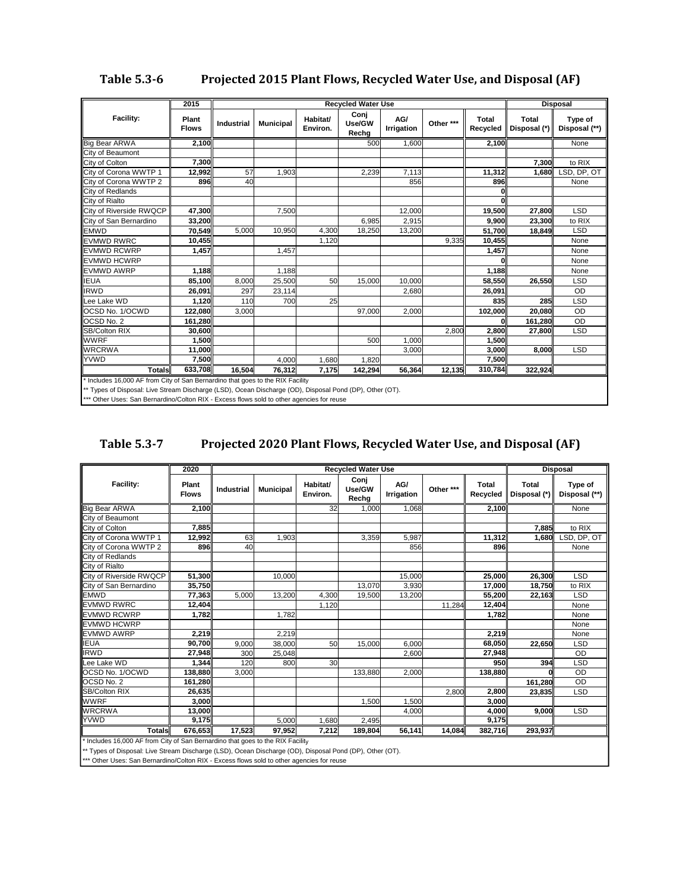## **Table 5.36 Projected 2015 Plant Flows, Recycled Water Use, and Disposal (AF)**

|                                                                                                          | 2015                         |                   |                  |                      | <b>Recycled Water Use</b> |                   |           |                          |                              | <b>Disposal</b>          |
|----------------------------------------------------------------------------------------------------------|------------------------------|-------------------|------------------|----------------------|---------------------------|-------------------|-----------|--------------------------|------------------------------|--------------------------|
| <b>Facility:</b>                                                                                         | <b>Plant</b><br><b>Flows</b> | <b>Industrial</b> | <b>Municipal</b> | Habitat/<br>Environ. | Conj<br>Use/GW<br>Rechg   | AG/<br>Irrigation | Other *** | <b>Total</b><br>Recycled | <b>Total</b><br>Disposal (*) | Type of<br>Disposal (**) |
| <b>Big Bear ARWA</b>                                                                                     | 2,100                        |                   |                  |                      | 500                       | 1,600             |           | 2,100                    |                              | None                     |
| City of Beaumont                                                                                         |                              |                   |                  |                      |                           |                   |           |                          |                              |                          |
| City of Colton                                                                                           | 7,300                        |                   |                  |                      |                           |                   |           |                          | 7.300                        | to RIX                   |
| City of Corona WWTP 1                                                                                    | 12,992                       | 57                | 1,903            |                      | 2,239                     | 7,113             |           | 11,312                   | 1.680                        | LSD, DP, OT              |
| City of Corona WWTP 2                                                                                    | 896                          | 40                |                  |                      |                           | 856               |           | 896                      |                              | None                     |
| City of Redlands                                                                                         |                              |                   |                  |                      |                           |                   |           |                          |                              |                          |
| City of Rialto                                                                                           |                              |                   |                  |                      |                           |                   |           |                          |                              |                          |
| City of Riverside RWQCP                                                                                  | 47,300                       |                   | 7,500            |                      |                           | 12,000            |           | 19.500                   | 27,800                       | <b>LSD</b>               |
| City of San Bernardino                                                                                   | 33,200                       |                   |                  |                      | 6,985                     | 2,915             |           | 9,900                    | 23,300                       | to RIX                   |
| <b>EMWD</b>                                                                                              | 70,549                       | 5,000             | 10,950           | 4,300                | 18,250                    | 13,200            |           | 51,700                   | 18,849                       | <b>LSD</b>               |
| <b>EVMWD RWRC</b>                                                                                        | 10,455                       |                   |                  | 1,120                |                           |                   | 9,335     | 10,455                   |                              | None                     |
| <b>EVMWD RCWRP</b>                                                                                       | 1,457                        |                   | 1,457            |                      |                           |                   |           | 1,457                    |                              | None                     |
| <b>EVMWD HCWRP</b>                                                                                       |                              |                   |                  |                      |                           |                   |           |                          |                              | None                     |
| <b>EVMWD AWRP</b>                                                                                        | 1,188                        |                   | 1,188            |                      |                           |                   |           | 1,188                    |                              | None                     |
| <b>IEUA</b>                                                                                              | 85,100                       | 8,000             | 25,500           | 50                   | 15,000                    | 10,000            |           | 58,550                   | 26,550                       | <b>LSD</b>               |
| <b>IRWD</b>                                                                                              | 26,091                       | 297               | 23,114           |                      |                           | 2,680             |           | 26,091                   |                              | OD                       |
| Lee Lake WD                                                                                              | 1,120                        | 110               | 700              | 25                   |                           |                   |           | 835                      | 285                          | <b>LSD</b>               |
| OCSD No. 1/OCWD                                                                                          | 122,080                      | 3,000             |                  |                      | 97,000                    | 2,000             |           | 102,000                  | 20,080                       | OD                       |
| OCSD No. 2                                                                                               | 161,280                      |                   |                  |                      |                           |                   |           |                          | 161,280                      | OD                       |
| SB/Colton RIX                                                                                            | 30,600                       |                   |                  |                      |                           |                   | 2,800     | 2,800                    | 27,800                       | <b>LSD</b>               |
| <b>WWRF</b>                                                                                              | 1,500                        |                   |                  |                      | 500                       | 1,000             |           | 1,500                    |                              |                          |
| <b>WRCRWA</b>                                                                                            | 11,000                       |                   |                  |                      |                           | 3,000             |           | 3,000                    | 8,000                        | <b>LSD</b>               |
| <b>YVWD</b>                                                                                              | 7,500                        |                   | 4,000            | 1,680                | 1,820                     |                   |           | 7,500                    |                              |                          |
| <b>Totals</b>                                                                                            | 633.708                      | 16.504            | 76,312           | 7,175                | 142,294                   | 56,364            | 12,135    | 310,784                  | 322,924                      |                          |
| * Includes 16,000 AF from City of San Bernardino that goes to the RIX Facility                           |                              |                   |                  |                      |                           |                   |           |                          |                              |                          |
| ** Types of Disposal: Live Stream Discharge (LSD), Ocean Discharge (OD), Disposal Pond (DP), Other (OT). |                              |                   |                  |                      |                           |                   |           |                          |                              |                          |

\*\*\* Other Uses: San Bernardino/Colton RIX - Excess flows sold to other agencies for reuse

| Table 5.3-7 | Projected 2020 Plant Flows, Recycled Water Use, and Disposal (AF) |
|-------------|-------------------------------------------------------------------|
|-------------|-------------------------------------------------------------------|

|                                                                                                          | 2020                  |                   |                  |                      | <b>Recycled Water Use</b> |                   |           |                          |                              | <b>Disposal</b>          |
|----------------------------------------------------------------------------------------------------------|-----------------------|-------------------|------------------|----------------------|---------------------------|-------------------|-----------|--------------------------|------------------------------|--------------------------|
| Facility:                                                                                                | Plant<br><b>Flows</b> | <b>Industrial</b> | <b>Municipal</b> | Habitat/<br>Environ. | Conj<br>Use/GW<br>Rechg   | AG/<br>Irrigation | Other *** | <b>Total</b><br>Recycled | <b>Total</b><br>Disposal (*) | Type of<br>Disposal (**) |
| <b>Big Bear ARWA</b>                                                                                     | 2,100                 |                   |                  | 32                   | 1,000                     | 1,068             |           | 2,100                    |                              | None                     |
| City of Beaumont                                                                                         |                       |                   |                  |                      |                           |                   |           |                          |                              |                          |
| City of Colton                                                                                           | 7,885                 |                   |                  |                      |                           |                   |           |                          | 7,885                        | to RIX                   |
| City of Corona WWTP 1                                                                                    | 12,992                | 63                | 1,903            |                      | 3,359                     | 5,987             |           | 11,312                   | 1,680                        | LSD, DP, OT              |
| City of Corona WWTP 2                                                                                    | 896                   | 40                |                  |                      |                           | 856               |           | 896                      |                              | None                     |
| City of Redlands                                                                                         |                       |                   |                  |                      |                           |                   |           |                          |                              |                          |
| City of Rialto                                                                                           |                       |                   |                  |                      |                           |                   |           |                          |                              |                          |
| City of Riverside RWQCP                                                                                  | 51,300                |                   | 10,000           |                      |                           | 15,000            |           | 25,000                   | 26,300                       | <b>LSD</b>               |
| City of San Bernardino                                                                                   | 35,750                |                   |                  |                      | 13.070                    | 3,930             |           | 17,000                   | 18,750                       | to RIX                   |
| <b>EMWD</b>                                                                                              | 77,363                | 5,000             | 13,200           | 4,300                | 19,500                    | 13,200            |           | 55,200                   | 22,163                       | <b>LSD</b>               |
| <b>EVMWD RWRC</b>                                                                                        | 12,404                |                   |                  | 1,120                |                           |                   | 11,284    | 12,404                   |                              | None                     |
| <b>EVMWD RCWRP</b>                                                                                       | 1,782                 |                   | 1.782            |                      |                           |                   |           | 1.782                    |                              | None                     |
| <b>EVMWD HCWRP</b>                                                                                       |                       |                   |                  |                      |                           |                   |           |                          |                              | None                     |
| <b>EVMWD AWRP</b>                                                                                        | 2,219                 |                   | 2,219            |                      |                           |                   |           | 2,219                    |                              | None                     |
| <b>IEUA</b>                                                                                              | 90,700                | 9,000             | 38,000           | 50                   | 15,000                    | 6.000             |           | 68.050                   | 22,650                       | <b>LSD</b>               |
| <b>IRWD</b>                                                                                              | 27,948                | 300               | 25,048           |                      |                           | 2,600             |           | 27,948                   |                              | <b>OD</b>                |
| Lee Lake WD                                                                                              | 1,344                 | 120               | 800              | 30                   |                           |                   |           | 950                      | 394                          | <b>LSD</b>               |
| OCSD No. 1/OCWD                                                                                          | 138,880               | 3,000             |                  |                      | 133,880                   | 2,000             |           | 138,880                  |                              | OD                       |
| OCSD No. 2                                                                                               | 161,280               |                   |                  |                      |                           |                   |           |                          | 161,280                      | OD                       |
| SB/Colton RIX                                                                                            | 26,635                |                   |                  |                      |                           |                   | 2,800     | 2,800                    | 23,835                       | <b>LSD</b>               |
| <b>WWRF</b>                                                                                              | 3,000                 |                   |                  |                      | 1,500                     | 1,500             |           | 3,000                    |                              |                          |
| <b>WRCRWA</b>                                                                                            | 13,000                |                   |                  |                      |                           | 4,000             |           | 4,000                    | 9.000                        | <b>LSD</b>               |
| <b>YVWD</b>                                                                                              | 9,175                 |                   | 5.000            | 1,680                | 2,495                     |                   |           | 9,175                    |                              |                          |
| <b>Totals</b>                                                                                            | 676,653               | 17.523            | 97.952           | 7,212                | 189,804                   | 56,141            | 14,084    | 382,716                  | 293,937                      |                          |
| * Includes 16,000 AF from City of San Bernardino that goes to the RIX Facility                           |                       |                   |                  |                      |                           |                   |           |                          |                              |                          |
| ** Types of Disposal: Live Stream Discharge (LSD), Ocean Discharge (OD), Disposal Pond (DP), Other (OT). |                       |                   |                  |                      |                           |                   |           |                          |                              |                          |

\*\*\* Other Uses: San Bernardino/Colton RIX - Excess flows sold to other agencies for reuse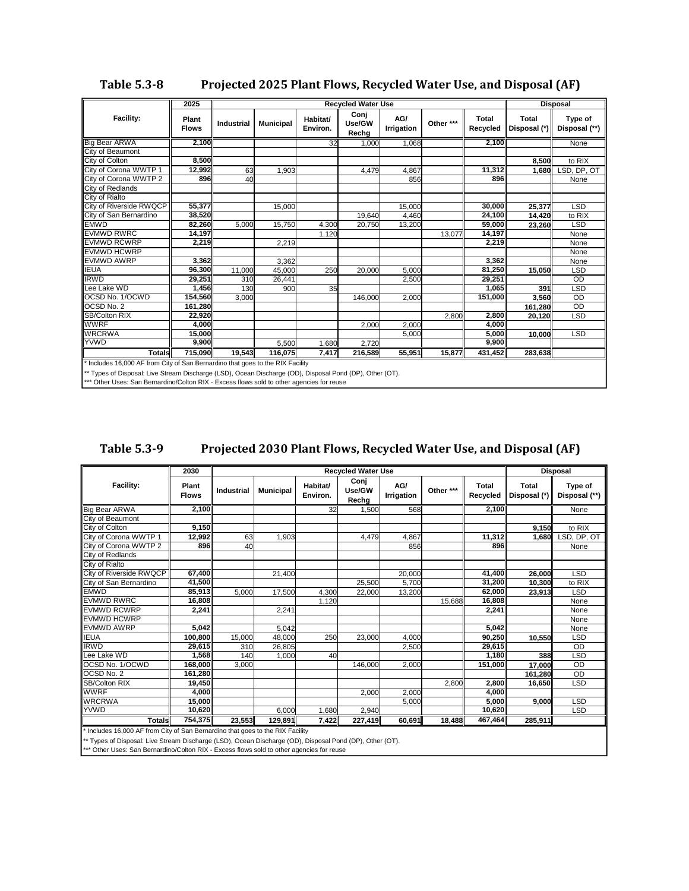| <b>Table 5.3-8</b> | Projected 2025 Plant Flows, Recycled Water Use, and Disposal (AF) |
|--------------------|-------------------------------------------------------------------|
|                    |                                                                   |

|                                                                                                          | 2025                  |            |                  |                      | <b>Recycled Water Use</b> |                          |           |                   |                       | <b>Disposal</b>          |
|----------------------------------------------------------------------------------------------------------|-----------------------|------------|------------------|----------------------|---------------------------|--------------------------|-----------|-------------------|-----------------------|--------------------------|
| Facility:                                                                                                | Plant<br><b>Flows</b> | Industrial | <b>Municipal</b> | Habitat/<br>Environ. | Conj<br>Use/GW<br>Rechg   | AG/<br><b>Irrigation</b> | Other *** | Total<br>Recycled | Total<br>Disposal (*) | Type of<br>Disposal (**) |
| Big Bear ARWA                                                                                            | 2,100                 |            |                  | 32                   | 1,000                     | 1.068                    |           | 2,100             |                       | None                     |
| City of Beaumont                                                                                         |                       |            |                  |                      |                           |                          |           |                   |                       |                          |
| City of Colton                                                                                           | 8,500                 |            |                  |                      |                           |                          |           |                   | 8,500                 | to RIX                   |
| City of Corona WWTP 1                                                                                    | 12,992                | 63         | 1,903            |                      | 4,479                     | 4,867                    |           | 11,312            | 1.680                 | LSD, DP, OT              |
| City of Corona WWTP 2                                                                                    | 896                   | 40         |                  |                      |                           | 856                      |           | 896               |                       | None                     |
| City of Redlands                                                                                         |                       |            |                  |                      |                           |                          |           |                   |                       |                          |
| City of Rialto                                                                                           |                       |            |                  |                      |                           |                          |           |                   |                       |                          |
| City of Riverside RWQCP                                                                                  | 55,377                |            | 15,000           |                      |                           | 15,000                   |           | 30,000            | 25,377                | <b>LSD</b>               |
| City of San Bernardino                                                                                   | 38,520                |            |                  |                      | 19,640                    | 4,460                    |           | 24,100            | 14,420                | to RIX                   |
| <b>EMWD</b>                                                                                              | 82,260                | 5.000      | 15,750           | 4,300                | 20,750                    | 13,200                   |           | 59,000            | 23,260                | <b>LSD</b>               |
| <b>EVMWD RWRC</b>                                                                                        | 14,197                |            |                  | 1,120                |                           |                          | 13,077    | 14,197            |                       | None                     |
| <b>EVMWD RCWRP</b>                                                                                       | 2,219                 |            | 2,219            |                      |                           |                          |           | 2,219             |                       | None                     |
| <b>EVMWD HCWRP</b>                                                                                       |                       |            |                  |                      |                           |                          |           |                   |                       | None                     |
| <b>EVMWD AWRP</b>                                                                                        | 3,362                 |            | 3,362            |                      |                           |                          |           | 3,362             |                       | None                     |
| <b>IEUA</b>                                                                                              | 96,300                | 11,000     | 45,000           | 250                  | 20,000                    | 5,000                    |           | 81,250            | 15.050                | <b>LSD</b>               |
| <b>IRWD</b>                                                                                              | 29.251                | 310        | 26,441           |                      |                           | 2,500                    |           | 29,251            |                       | OD                       |
| Lee Lake WD                                                                                              | 1,456                 | 130        | 900              | 35                   |                           |                          |           | 1,065             | 391                   | <b>LSD</b>               |
| OCSD No. 1/OCWD                                                                                          | 154.560               | 3,000      |                  |                      | 146,000                   | 2,000                    |           | 151,000           | 3,560                 | OD                       |
| OCSD No. 2                                                                                               | 161,280               |            |                  |                      |                           |                          |           |                   | 161.280               | OD                       |
| SB/Colton RIX                                                                                            | 22,920                |            |                  |                      |                           |                          | 2.800     | 2,800             | 20,120                | <b>LSD</b>               |
| <b>WWRF</b>                                                                                              | 4,000                 |            |                  |                      | 2,000                     | 2,000                    |           | 4,000             |                       |                          |
| <b>WRCRWA</b>                                                                                            | 15,000                |            |                  |                      |                           | 5,000                    |           | 5.000             | 10.000                | <b>LSD</b>               |
| YVWD                                                                                                     | 9,900                 |            | 5,500            | 1,680                | 2,720                     |                          |           | 9,900             |                       |                          |
| <b>Totals</b>                                                                                            | 715.090               | 19.543     | 116.075          | 7,417                | 216,589                   | 55,951                   | 15,877    | 431,452           | 283,638               |                          |
| * Includes 16,000 AF from City of San Bernardino that goes to the RIX Facility                           |                       |            |                  |                      |                           |                          |           |                   |                       |                          |
| ** Types of Disposal: Live Stream Discharge (LSD), Ocean Discharge (OD), Disposal Pond (DP), Other (OT). |                       |            |                  |                      |                           |                          |           |                   |                       |                          |

\*\*\* Other Uses: San Bernardino/Colton RIX - Excess flows sold to other agencies for reuse

| <b>Table 5.3-9</b> | Projected 2030 Plant Flows, Recycled Water Use, and Disposal (AF) |
|--------------------|-------------------------------------------------------------------|
|                    |                                                                   |

|                                                                                | 2030                  | <b>Recycled Water Use</b> |                  |                      |                         | <b>Disposal</b>          |           |                          |                       |                          |
|--------------------------------------------------------------------------------|-----------------------|---------------------------|------------------|----------------------|-------------------------|--------------------------|-----------|--------------------------|-----------------------|--------------------------|
| Facility:                                                                      | Plant<br><b>Flows</b> | <b>Industrial</b>         | <b>Municipal</b> | Habitat/<br>Environ. | Conj<br>Use/GW<br>Rechg | AG/<br><b>Irrigation</b> | Other *** | <b>Total</b><br>Recycled | Total<br>Disposal (*) | Type of<br>Disposal (**) |
| <b>Big Bear ARWA</b>                                                           | 2,100                 |                           |                  | 32                   | 1,500                   | 568                      |           | 2,100                    |                       | None                     |
| City of Beaumont                                                               |                       |                           |                  |                      |                         |                          |           |                          |                       |                          |
| City of Colton                                                                 | 9,150                 |                           |                  |                      |                         |                          |           |                          | 9,150                 | to RIX                   |
| City of Corona WWTP 1                                                          | 12,992                | 63                        | 1.903            |                      | 4,479                   | 4,867                    |           | 11,312                   | 1.680                 | LSD, DP, OT              |
| City of Corona WWTP 2                                                          | 896                   | 40                        |                  |                      |                         | 856                      |           | 896                      |                       | None                     |
| City of Redlands                                                               |                       |                           |                  |                      |                         |                          |           |                          |                       |                          |
| City of Rialto                                                                 |                       |                           |                  |                      |                         |                          |           |                          |                       |                          |
| <b>City of Riverside RWQCP</b>                                                 | 67.400                |                           | 21,400           |                      |                         | 20,000                   |           | 41,400                   | 26,000                | <b>LSD</b>               |
| City of San Bernardino                                                         | 41,500                |                           |                  |                      | 25,500                  | 5.700                    |           | 31.200                   | 10,300                | to RIX                   |
| <b>EMWD</b>                                                                    | 85,913                | 5.000                     | 17,500           | 4,300                | 22,000                  | 13,200                   |           | 62,000                   | 23,913                | LSD                      |
| <b>EVMWD RWRC</b>                                                              | 16,808                |                           |                  | 1,120                |                         |                          | 15,688    | 16,808                   |                       | None                     |
| <b>EVMWD RCWRP</b>                                                             | 2.241                 |                           | 2.241            |                      |                         |                          |           | 2,241                    |                       | None                     |
| <b>EVMWD HCWRP</b>                                                             |                       |                           |                  |                      |                         |                          |           |                          |                       | None                     |
| <b>EVMWD AWRP</b>                                                              | 5,042                 |                           | 5,042            |                      |                         |                          |           | 5,042                    |                       | None                     |
| <b>IEUA</b>                                                                    | 100.800               | 15,000                    | 48,000           | 250                  | 23,000                  | 4,000                    |           | 90,250                   | 10,550                | <b>LSD</b>               |
| <b>IRWD</b>                                                                    | 29,615                | 310                       | 26,805           |                      |                         | 2.500                    |           | 29,615                   |                       | OD                       |
| Lee Lake WD                                                                    | 1,568                 | 140                       | 1,000            | 40                   |                         |                          |           | 1,180                    | 388                   | <b>LSD</b>               |
| <b>IOCSD No. 1/OCWD</b>                                                        | 168.000               | 3,000                     |                  |                      | 146,000                 | 2,000                    |           | 151.000                  | 17,000                | OD                       |
| <b>OCSD No. 2</b>                                                              | 161,280               |                           |                  |                      |                         |                          |           |                          | 161,280               | OD                       |
| <b>SB/Colton RIX</b>                                                           | 19,450                |                           |                  |                      |                         |                          | 2,800     | 2,800                    | 16,650                | <b>LSD</b>               |
| <b>WWRF</b>                                                                    | 4,000                 |                           |                  |                      | 2,000                   | 2,000                    |           | 4,000                    |                       |                          |
| <b>WRCRWA</b>                                                                  | 15.000                |                           |                  |                      |                         | 5.000                    |           | 5.000                    | 9.000                 | <b>LSD</b>               |
| YVWD                                                                           | 10,620                |                           | 6,000            | 1.680                | 2,940                   |                          |           | 10,620                   |                       | <b>LSD</b>               |
| <b>Totals</b>                                                                  | 754.375               | 23.553                    | 129.891          | 7,422                | 227,419                 | 60,691                   | 18,488    | 467,464                  | 285,911               |                          |
| * Includes 16,000 AF from City of San Bernardino that goes to the RIX Facility |                       |                           |                  |                      |                         |                          |           |                          |                       |                          |

\*\* Types of Disposal: Live Stream Discharge (LSD), Ocean Discharge (OD), Disposal Pond (DP), Other (OT).

\*\*\* Other Uses: San Bernardino/Colton RIX - Excess flows sold to other agencies for reuse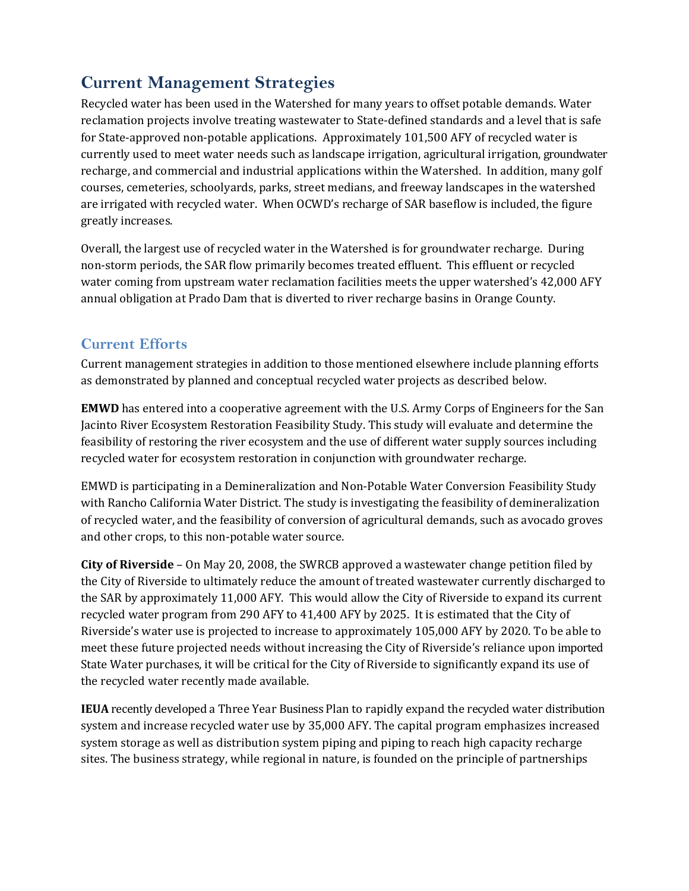# **Current Management Strategies**

Recycled water has been used in the Watershed for many years to offset potable demands. Water reclamation projects involve treating wastewater to State-defined standards and a level that is safe for State-approved non-potable applications. Approximately 101,500 AFY of recycled water is currently used to meet water needs such as landscape irrigation, agricultural irrigation, groundwater recharge, and commercial and industrial applications within the Watershed. In addition, many golf courses, cemeteries, schoolyards, parks, street medians, and freeway landscapes in the watershed are irrigated with recycled water. When OCWD's recharge of SAR baseflow is included, the figure greatly increases.

Overall, the largest use of recycled water in the Watershed is for groundwater recharge. During non‐storm periods, the SAR flow primarily becomes treated effluent. This effluent or recycled water coming from upstream water reclamation facilities meets the upper watershed's 42,000 AFY annual obligation at Prado Dam that is diverted to river recharge basins in Orange County.

# **Current Efforts**

Current management strategies in addition to those mentioned elsewhere include planning efforts as demonstrated by planned and conceptual recycled water projects as described below.

**EMWD** has entered into a cooperative agreement with the U.S. Army Corps of Engineers for the San Jacinto River Ecosystem Restoration Feasibility Study. This study will evaluate and determine the feasibility of restoring the river ecosystem and the use of different water supply sources including recycled water for ecosystem restoration in conjunction with groundwater recharge.

EMWD is participating in a Demineralization and Non‐Potable Water Conversion Feasibility Study with Rancho California Water District. The study is investigating the feasibility of demineralization of recycled water, and the feasibility of conversion of agricultural demands, such as avocado groves and other crops, to this non‐potable water source.

**City of Riverside** – On May 20, 2008, the SWRCB approved a wastewater change petition filed by the City of Riverside to ultimately reduce the amount of treated wastewater currently discharged to the SAR by approximately 11,000 AFY. This would allow the City of Riverside to expand its current recycled water program from 290 AFY to 41,400 AFY by 2025. It is estimated that the City of Riverside's water use is projected to increase to approximately 105,000 AFY by 2020. To be able to meet these future projected needs without increasing the City of Riverside's reliance upon imported State Water purchases, it will be critical for the City of Riverside to significantly expand its use of the recycled water recently made available.

**IEUA** recently developed a Three Year Business Plan to rapidly expand the recycled water distribution system and increase recycled water use by 35,000 AFY. The capital program emphasizes increased system storage as well as distribution system piping and piping to reach high capacity recharge sites. The business strategy, while regional in nature, is founded on the principle of partnerships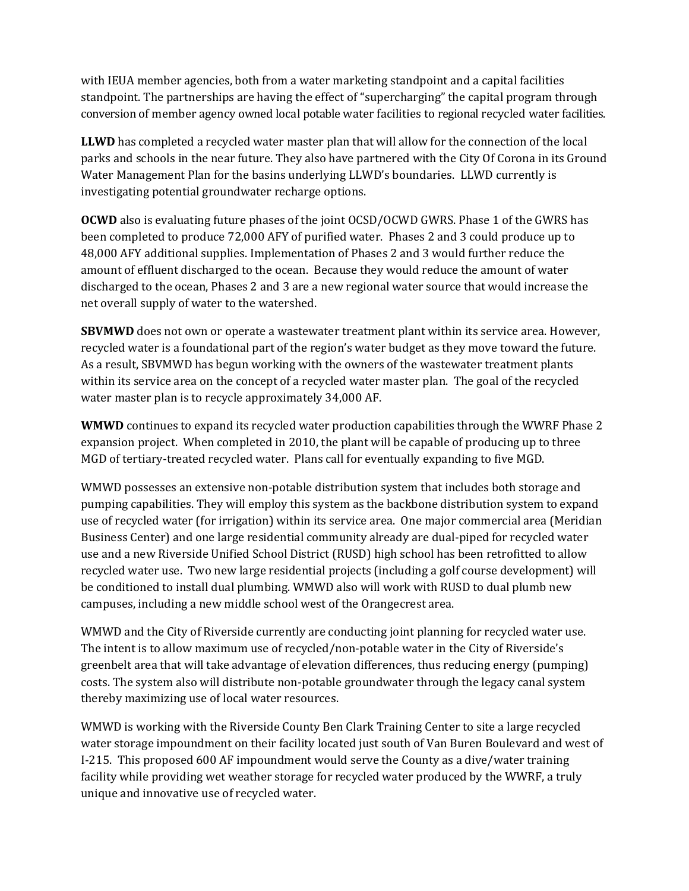with IEUA member agencies, both from a water marketing standpoint and a capital facilities standpoint. The partnerships are having the effect of "supercharging" the capital program through conversion of member agency owned local potable water facilities to regional recycled water facilities.

**LLWD** has completed a recycled water master plan that will allow for the connection of the local parks and schools in the near future. They also have partnered with the City Of Corona in its Ground Water Management Plan for the basins underlying LLWD's boundaries. LLWD currently is investigating potential groundwater recharge options.

**OCWD** also is evaluating future phases of the joint OCSD/OCWD GWRS. Phase 1 of the GWRS has been completed to produce 72,000 AFY of purified water. Phases 2 and 3 could produce up to 48,000 AFY additional supplies. Implementation of Phases 2 and 3 would further reduce the amount of effluent discharged to the ocean. Because they would reduce the amount of water discharged to the ocean, Phases 2 and 3 are a new regional water source that would increase the net overall supply of water to the watershed.

**SBVMWD** does not own or operate a wastewater treatment plant within its service area. However, recycled water is a foundational part of the region's water budget as they move toward the future. As a result, SBVMWD has begun working with the owners of the wastewater treatment plants within its service area on the concept of a recycled water master plan. The goal of the recycled water master plan is to recycle approximately 34,000 AF.

**WMWD** continues to expand its recycled water production capabilities through the WWRF Phase 2 expansion project. When completed in 2010, the plant will be capable of producing up to three MGD of tertiary‐treated recycled water. Plans call for eventually expanding to five MGD.

WMWD possesses an extensive non-potable distribution system that includes both storage and pumping capabilities. They will employ this system as the backbone distribution system to expand use of recycled water (for irrigation) within its service area. One major commercial area (Meridian Business Center) and one large residential community already are dual‐piped for recycled water use and a new Riverside Unified School District (RUSD) high school has been retrofitted to allow recycled water use. Two new large residential projects (including a golf course development) will be conditioned to install dual plumbing. WMWD also will work with RUSD to dual plumb new campuses, including a new middle school west of the Orangecrest area.

WMWD and the City of Riverside currently are conducting joint planning for recycled water use. The intent is to allow maximum use of recycled/non-potable water in the City of Riverside's greenbelt area that will take advantage of elevation differences, thus reducing energy (pumping) costs. The system also will distribute non‐potable groundwater through the legacy canal system thereby maximizing use of local water resources.

WMWD is working with the Riverside County Ben Clark Training Center to site a large recycled water storage impoundment on their facility located just south of Van Buren Boulevard and west of I‐215. This proposed 600 AF impoundment would serve the County as a dive/water training facility while providing wet weather storage for recycled water produced by the WWRF, a truly unique and innovative use of recycled water.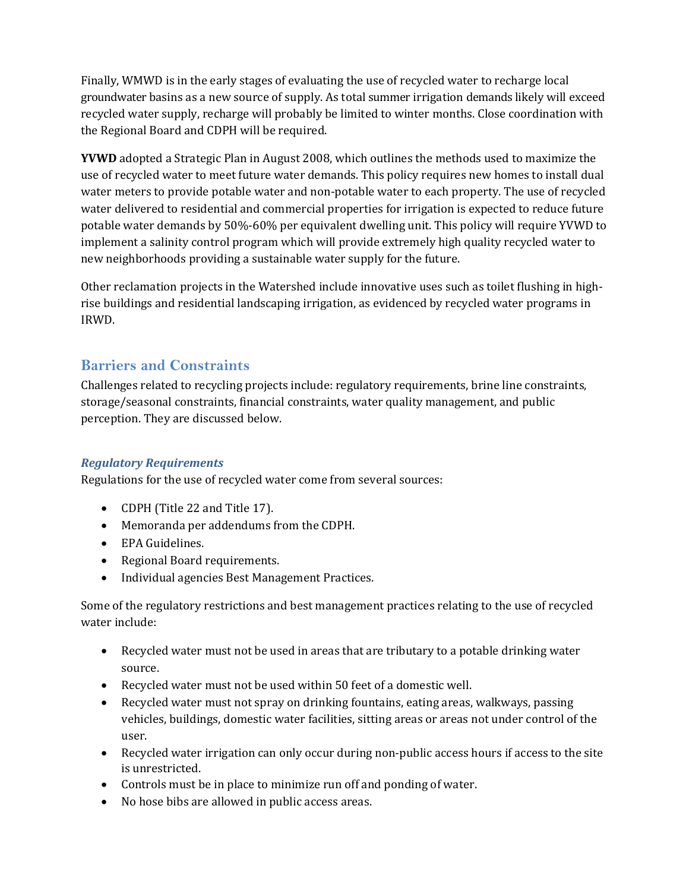Finally, WMWD is in the early stages of evaluating the use of recycled water to recharge local groundwater basins as a new source of supply. As total summer irrigation demands likely will exceed recycled water supply, recharge will probably be limited to winter months. Close coordination with the Regional Board and CDPH will be required.

**YVWD** adopted a Strategic Plan in August 2008, which outlines the methods used to maximize the use of recycled water to meet future water demands. This policy requires new homes to install dual water meters to provide potable water and non-potable water to each property. The use of recycled water delivered to residential and commercial properties for irrigation is expected to reduce future potable water demands by 50%‐60% per equivalent dwelling unit. This policy will require YVWD to implement a salinity control program which will provide extremely high quality recycled water to new neighborhoods providing a sustainable water supply for the future.

Other reclamation projects in the Watershed include innovative uses such as toilet flushing in high‐ rise buildings and residential landscaping irrigation, as evidenced by recycled water programs in IRWD.

## **Barriers and Constraints**

Challenges related to recycling projects include: regulatory requirements, brine line constraints, storage/seasonal constraints, financial constraints, water quality management, and public perception. They are discussed below.

## *Regulatory Requirements*

Regulations for the use of recycled water come from several sources:

- CDPH (Title 22 and Title 17).
- Memoranda per addendums from the CDPH.
- EPA Guidelines.
- Regional Board requirements.
- Individual agencies Best Management Practices.

Some of the regulatory restrictions and best management practices relating to the use of recycled water include:

- Recycled water must not be used in areas that are tributary to a potable drinking water source.
- Recycled water must not be used within 50 feet of a domestic well.
- Recycled water must not spray on drinking fountains, eating areas, walkways, passing vehicles, buildings, domestic water facilities, sitting areas or areas not under control of the user.
- Recycled water irrigation can only occur during non-public access hours if access to the site is unrestricted.
- Controls must be in place to minimize run off and ponding of water.
- No hose bibs are allowed in public access areas.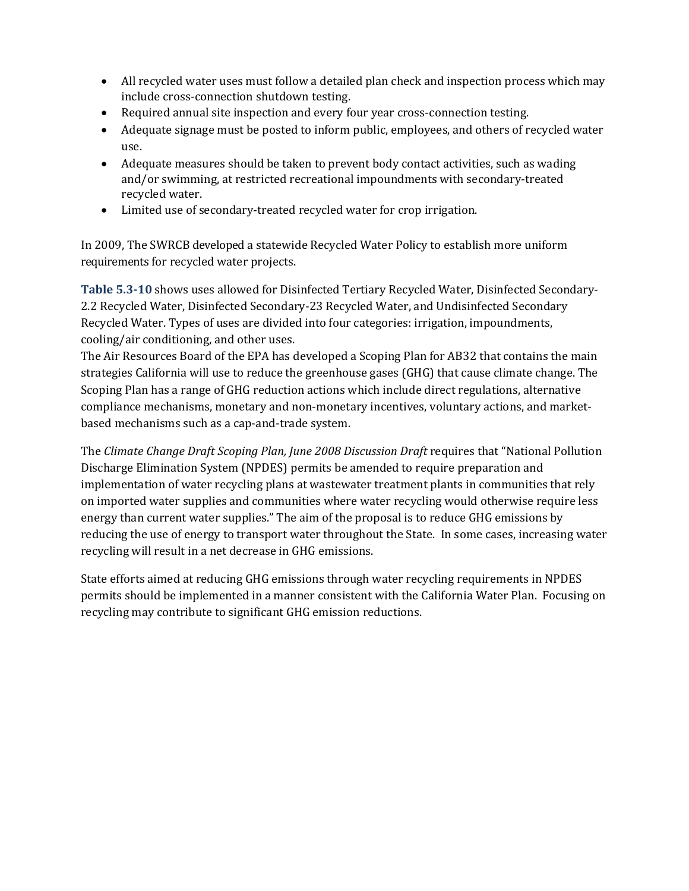- All recycled water uses must follow a detailed plan check and inspection process which may include cross‐connection shutdown testing.
- Required annual site inspection and every four year cross-connection testing.
- Adequate signage must be posted to inform public, employees, and others of recycled water use.
- Adequate measures should be taken to prevent body contact activities, such as wading and/or swimming, at restricted recreational impoundments with secondary‐treated recycled water.
- Limited use of secondary‐treated recycled water for crop irrigation.

In 2009, The SWRCB developed a statewide Recycled Water Policy to establish more uniform requirements for recycled water projects.

**Table 5.310** shows uses allowed for Disinfected Tertiary Recycled Water, Disinfected Secondary‐ 2.2 Recycled Water, Disinfected Secondary‐23 Recycled Water, and Undisinfected Secondary Recycled Water. Types of uses are divided into four categories: irrigation, impoundments, cooling/air conditioning, and other uses.

The Air Resources Board of the EPA has developed a Scoping Plan for AB32 that contains the main strategies California will use to reduce the greenhouse gases (GHG) that cause climate change. The Scoping Plan has a range of GHG reduction actions which include direct regulations, alternative compliance mechanisms, monetary and non‐monetary incentives, voluntary actions, and market‐ based mechanisms such as a cap‐and‐trade system.

The *Climate Change Draft Scoping Plan, June 2008 Discussion Draft* requires that "National Pollution Discharge Elimination System (NPDES) permits be amended to require preparation and implementation of water recycling plans at wastewater treatment plants in communities that rely on imported water supplies and communities where water recycling would otherwise require less energy than current water supplies." The aim of the proposal is to reduce GHG emissions by reducing the use of energy to transport water throughout the State. In some cases, increasing water recycling will result in a net decrease in GHG emissions.

State efforts aimed at reducing GHG emissions through water recycling requirements in NPDES permits should be implemented in a manner consistent with the California Water Plan. Focusing on recycling may contribute to significant GHG emission reductions.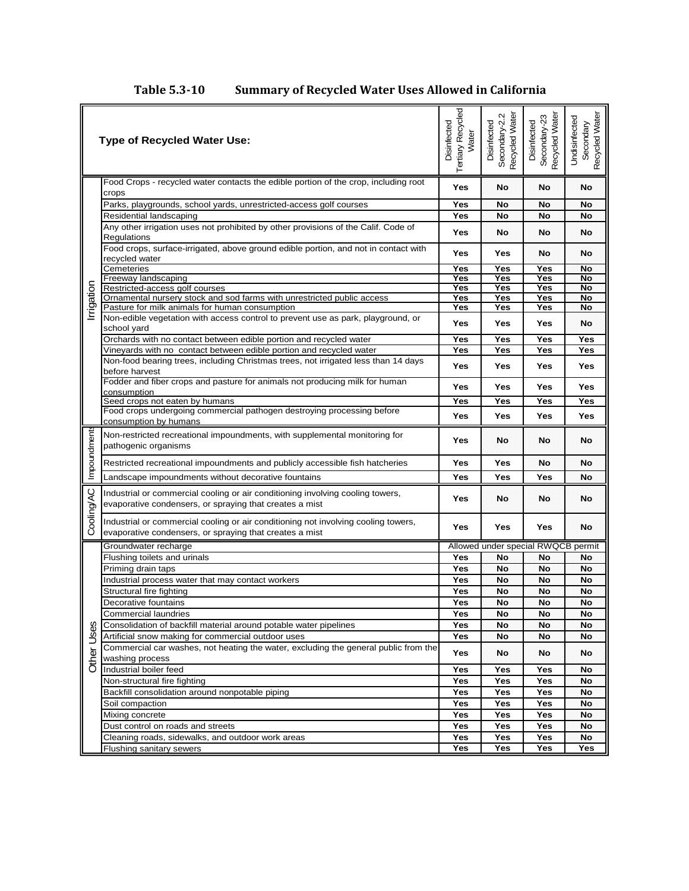# **Table 5.310 Summary of Recycled Water Uses Allowed in California**

|             | <b>Type of Recycled Water Use:</b>                                                                                                            | <b>Tertiary Recycled</b><br>Disinfected<br>Water | Recycled Water<br>N<br>Secondary-2.<br>Disinfected | Recycled Water<br>Secondary-23<br>Disinfected | Recycled Water<br>Undisinfected<br>Secondary |
|-------------|-----------------------------------------------------------------------------------------------------------------------------------------------|--------------------------------------------------|----------------------------------------------------|-----------------------------------------------|----------------------------------------------|
|             | Food Crops - recycled water contacts the edible portion of the crop, including root<br>crops                                                  | Yes                                              | No                                                 | No                                            | No                                           |
|             | Parks, playgrounds, school yards, unrestricted-access golf courses                                                                            | Yes                                              | No                                                 | No                                            | No                                           |
|             | Residential landscaping                                                                                                                       | Yes                                              | No                                                 | No                                            | <b>No</b>                                    |
|             | Any other irrigation uses not prohibited by other provisions of the Calif. Code of<br>Regulations                                             | Yes                                              | No                                                 | No                                            | No                                           |
|             | Food crops, surface-irrigated, above ground edible portion, and not in contact with<br>recycled water                                         | Yes                                              | Yes                                                | No                                            | No                                           |
|             | Cemeteries                                                                                                                                    | Yes                                              | Yes                                                | Yes                                           | No                                           |
|             | Freeway landscaping                                                                                                                           | Yes                                              | Yes                                                | Yes                                           | No                                           |
|             | Restricted-access golf courses                                                                                                                | Yes                                              | Yes                                                | Yes                                           | No                                           |
|             | Ornamental nursery stock and sod farms with unrestricted public access<br>Pasture for milk animals for human consumption                      | Yes<br>Yes                                       | Yes<br>Yes                                         | Yes<br>Yes                                    | No<br>No                                     |
| Irrigation  | Non-edible vegetation with access control to prevent use as park, playground, or                                                              |                                                  |                                                    |                                               |                                              |
|             | school yard                                                                                                                                   | Yes                                              | Yes                                                | Yes                                           | No                                           |
|             | Orchards with no contact between edible portion and recycled water                                                                            | Yes                                              | Yes                                                | Yes                                           | Yes                                          |
|             | Vineyards with no contact between edible portion and recycled water                                                                           | Yes                                              | Yes                                                | Yes                                           | Yes                                          |
|             | Non-food bearing trees, including Christmas trees, not irrigated less than 14 days<br>before harvest                                          | Yes                                              | Yes                                                | Yes                                           | Yes                                          |
|             | Fodder and fiber crops and pasture for animals not producing milk for human                                                                   | Yes                                              | Yes                                                | <b>Yes</b>                                    | Yes                                          |
|             | consumption<br>Seed crops not eaten by humans                                                                                                 | Yes                                              | Yes                                                | Yes                                           | Yes                                          |
|             | Food crops undergoing commercial pathogen destroying processing before                                                                        | Yes                                              | Yes                                                | Yes                                           | Yes                                          |
|             | consumption by humans                                                                                                                         |                                                  |                                                    |                                               |                                              |
| Impoundment | Non-restricted recreational impoundments, with supplemental monitoring for<br>pathogenic organisms                                            | Yes                                              | No                                                 | No                                            | <b>No</b>                                    |
|             | Restricted recreational impoundments and publicly accessible fish hatcheries                                                                  | Yes                                              | Yes                                                | No                                            | No                                           |
|             | Landscape impoundments without decorative fountains                                                                                           | Yes                                              | Yes                                                | Yes                                           | No                                           |
| Cooling/AC  | Industrial or commercial cooling or air conditioning involving cooling towers,<br>evaporative condensers, or spraying that creates a mist     | Yes                                              | No                                                 | No                                            | No                                           |
|             | Industrial or commercial cooling or air conditioning not involving cooling towers,<br>evaporative condensers, or spraying that creates a mist | Yes                                              | Yes                                                | Yes                                           | No                                           |
|             | Groundwater recharge                                                                                                                          |                                                  |                                                    | Allowed under special RWQCB permit            |                                              |
|             | Flushing toilets and urinals                                                                                                                  | Yes                                              | No                                                 | No                                            | No                                           |
|             | Priming drain taps                                                                                                                            | Yes                                              | No                                                 | No                                            | No                                           |
|             | Industrial process water that may contact workers                                                                                             | Yes                                              | No                                                 | No                                            | No                                           |
|             | Structural fire fighting                                                                                                                      | Yes                                              | No                                                 | No                                            | No                                           |
|             | Decorative fountains                                                                                                                          | Yes                                              | No                                                 | No                                            | No                                           |
|             | <b>Commercial laundries</b>                                                                                                                   | Yes                                              | No                                                 | No                                            | No                                           |
|             | Consolidation of backfill material around potable water pipelines                                                                             | Yes                                              | No                                                 | No                                            | No                                           |
|             | Artificial snow making for commercial outdoor uses                                                                                            | Yes                                              | No                                                 | No                                            | No                                           |
| Other Uses  | Commercial car washes, not heating the water, excluding the general public from the<br>washing process                                        |                                                  | No                                                 | No                                            | No                                           |
|             | Industrial boiler feed                                                                                                                        | Yes                                              | Yes                                                | Yes                                           | No                                           |
|             | Non-structural fire fighting                                                                                                                  | Yes                                              | Yes                                                | Yes                                           | No                                           |
|             | Backfill consolidation around nonpotable piping                                                                                               | Yes                                              | Yes                                                | Yes                                           | No                                           |
|             | Soil compaction                                                                                                                               | Yes                                              | Yes                                                | Yes                                           | No                                           |
|             | Mixing concrete                                                                                                                               | Yes                                              | Yes                                                | Yes                                           | No                                           |
|             | Dust control on roads and streets                                                                                                             | Yes                                              | Yes                                                | Yes                                           | No                                           |
|             | Cleaning roads, sidewalks, and outdoor work areas                                                                                             | Yes                                              | Yes                                                | Yes                                           | No                                           |
|             | Flushing sanitary sewers                                                                                                                      | Yes                                              | Yes                                                | Yes                                           | Yes                                          |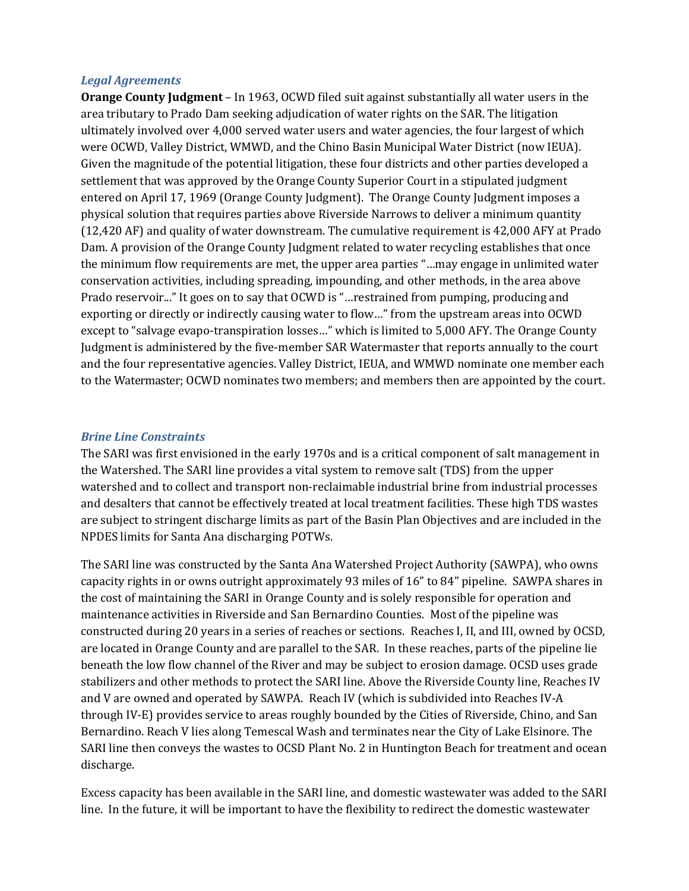#### *Legal Agreements*

**Orange County Judgment** – In 1963, OCWD filed suit against substantially all water users in the area tributary to Prado Dam seeking adjudication of water rights on the SAR. The litigation ultimately involved over 4,000 served water users and water agencies, the four largest of which were OCWD, Valley District, WMWD, and the Chino Basin Municipal Water District (now IEUA). Given the magnitude of the potential litigation, these four districts and other parties developed a settlement that was approved by the Orange County Superior Court in a stipulated judgment entered on April 17, 1969 (Orange County Judgment). The Orange County Judgment imposes a physical solution that requires parties above Riverside Narrows to deliver a minimum quantity (12,420 AF) and quality of water downstream. The cumulative requirement is 42,000 AFY at Prado Dam. A provision of the Orange County Judgment related to water recycling establishes that once the minimum flow requirements are met, the upper area parties "…may engage in unlimited water conservation activities, including spreading, impounding, and other methods, in the area above Prado reservoir..." It goes on to say that OCWD is "…restrained from pumping, producing and exporting or directly or indirectly causing water to flow…" from the upstream areas into OCWD except to "salvage evapo-transpiration losses..." which is limited to 5,000 AFY. The Orange County Judgment is administered by the five‐member SAR Watermaster that reports annually to the court and the four representative agencies. Valley District, IEUA, and WMWD nominate one member each to the Watermaster; OCWD nominates two members; and members then are appointed by the court.

#### *Brine Line Constraints*

The SARI was first envisioned in the early 1970s and is a critical component of salt management in the Watershed. The SARI line provides a vital system to remove salt (TDS) from the upper watershed and to collect and transport non-reclaimable industrial brine from industrial processes and desalters that cannot be effectively treated at local treatment facilities. These high TDS wastes are subject to stringent discharge limits as part of the Basin Plan Objectives and are included in the NPDES limits for Santa Ana discharging POTWs.

The SARI line was constructed by the Santa Ana Watershed Project Authority (SAWPA), who owns capacity rights in or owns outright approximately 93 miles of 16" to 84" pipeline. SAWPA shares in the cost of maintaining the SARI in Orange County and is solely responsible for operation and maintenance activities in Riverside and San Bernardino Counties. Most of the pipeline was constructed during 20 years in a series of reaches or sections. Reaches I, II, and III, owned by OCSD, are located in Orange County and are parallel to the SAR. In these reaches, parts of the pipeline lie beneath the low flow channel of the River and may be subject to erosion damage. OCSD uses grade stabilizers and other methods to protect the SARI line. Above the Riverside County line, Reaches IV and V are owned and operated by SAWPA. Reach IV (which is subdivided into Reaches IV‐A through IV‐E) provides service to areas roughly bounded by the Cities of Riverside, Chino, and San Bernardino. Reach V lies along Temescal Wash and terminates near the City of Lake Elsinore. The SARI line then conveys the wastes to OCSD Plant No. 2 in Huntington Beach for treatment and ocean discharge.

Excess capacity has been available in the SARI line, and domestic wastewater was added to the SARI line. In the future, it will be important to have the flexibility to redirect the domestic wastewater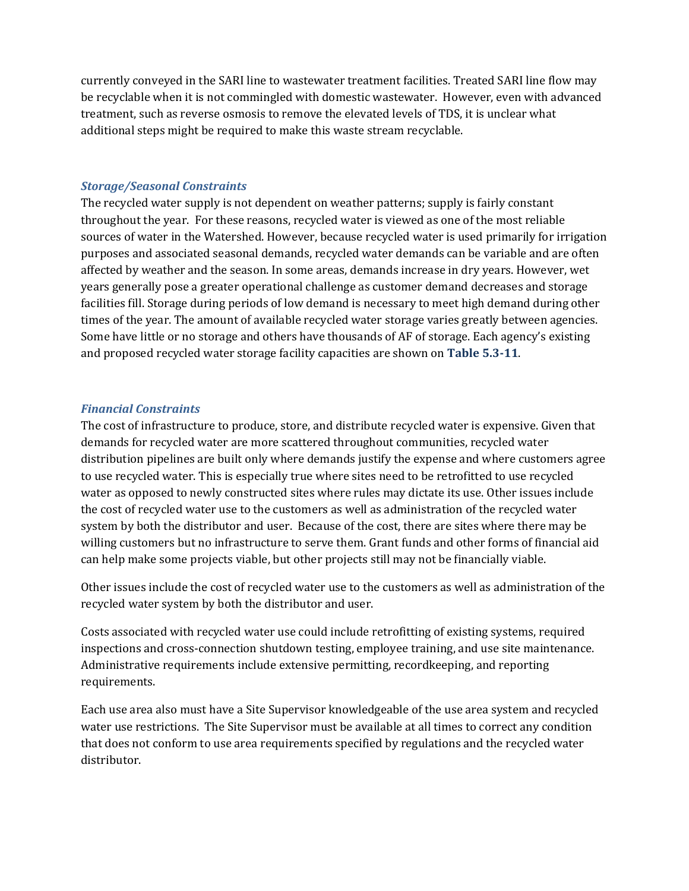currently conveyed in the SARI line to wastewater treatment facilities. Treated SARI line flow may be recyclable when it is not commingled with domestic wastewater. However, even with advanced treatment, such as reverse osmosis to remove the elevated levels of TDS, it is unclear what additional steps might be required to make this waste stream recyclable.

#### *Storage/Seasonal Constraints*

The recycled water supply is not dependent on weather patterns; supply is fairly constant throughout the year. For these reasons, recycled water is viewed as one of the most reliable sources of water in the Watershed. However, because recycled water is used primarily for irrigation purposes and associated seasonal demands, recycled water demands can be variable and are often affected by weather and the season. In some areas, demands increase in dry years. However, wet years generally pose a greater operational challenge as customer demand decreases and storage facilities fill. Storage during periods of low demand is necessary to meet high demand during other times of the year. The amount of available recycled water storage varies greatly between agencies. Some have little or no storage and others have thousands of AF of storage. Each agency's existing and proposed recycled water storage facility capacities are shown on **Table 5.311**.

#### *Financial Constraints*

The cost of infrastructure to produce, store, and distribute recycled water is expensive. Given that demands for recycled water are more scattered throughout communities, recycled water distribution pipelines are built only where demands justify the expense and where customers agree to use recycled water. This is especially true where sites need to be retrofitted to use recycled water as opposed to newly constructed sites where rules may dictate its use. Other issues include the cost of recycled water use to the customers as well as administration of the recycled water system by both the distributor and user. Because of the cost, there are sites where there may be willing customers but no infrastructure to serve them. Grant funds and other forms of financial aid can help make some projects viable, but other projects still may not be financially viable.

Other issues include the cost of recycled water use to the customers as well as administration of the recycled water system by both the distributor and user.

Costs associated with recycled water use could include retrofitting of existing systems, required inspections and cross‐connection shutdown testing, employee training, and use site maintenance. Administrative requirements include extensive permitting, recordkeeping, and reporting requirements.

Each use area also must have a Site Supervisor knowledgeable of the use area system and recycled water use restrictions. The Site Supervisor must be available at all times to correct any condition that does not conform to use area requirements specified by regulations and the recycled water distributor.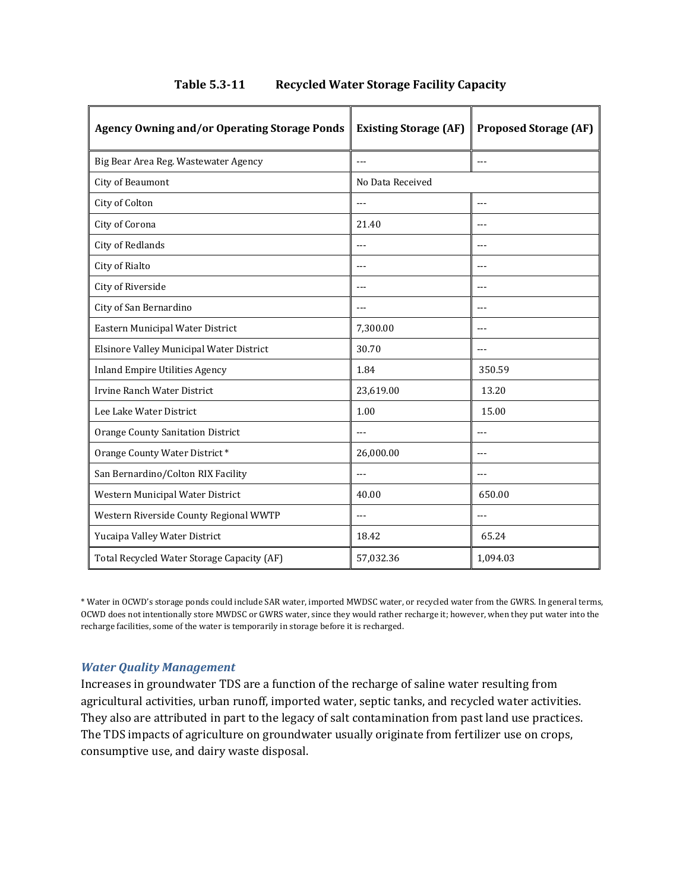| <b>Agency Owning and/or Operating Storage Ponds</b> | <b>Existing Storage (AF)</b> | <b>Proposed Storage (AF)</b> |  |
|-----------------------------------------------------|------------------------------|------------------------------|--|
| Big Bear Area Reg. Wastewater Agency                | $- - -$                      | $- - -$                      |  |
| City of Beaumont                                    | No Data Received             |                              |  |
| City of Colton                                      |                              | $---$                        |  |
| City of Corona                                      | 21.40                        |                              |  |
| <b>City of Redlands</b>                             | $-$ --                       | $- - -$                      |  |
| City of Rialto                                      |                              |                              |  |
| City of Riverside                                   | ---                          | ---                          |  |
| City of San Bernardino                              | $---$                        | $- - -$                      |  |
| Eastern Municipal Water District                    | 7,300.00                     | $- - -$                      |  |
| Elsinore Valley Municipal Water District            | 30.70                        | $-$ - $-$                    |  |
| <b>Inland Empire Utilities Agency</b>               | 1.84                         | 350.59                       |  |
| Irvine Ranch Water District                         | 23,619.00                    | 13.20                        |  |
| Lee Lake Water District                             | 1.00                         | 15.00                        |  |
| <b>Orange County Sanitation District</b>            | $---$                        | $---$                        |  |
| Orange County Water District*                       | 26,000.00                    | $---$                        |  |
| San Bernardino/Colton RIX Facility                  | $---$                        | $- - -$                      |  |
| Western Municipal Water District                    | 40.00                        | 650.00                       |  |
| Western Riverside County Regional WWTP              | $---$                        | $---$                        |  |
| Yucaipa Valley Water District                       | 18.42                        | 65.24                        |  |
| Total Recycled Water Storage Capacity (AF)          | 57,032.36                    | 1,094.03                     |  |

## **Table 5.311 Recycled Water Storage Facility Capacity**

\* Water in OCWD's storage ponds could include SAR water, imported MWDSC water, or recycled water from the GWRS. In general terms, OCWD does not intentionally store MWDSC or GWRS water, since they would rather recharge it; however, when they put water into the recharge facilities, some of the water is temporarily in storage before it is recharged.

#### *Water Quality Management*

Increases in groundwater TDS are a function of the recharge of saline water resulting from agricultural activities, urban runoff, imported water, septic tanks, and recycled water activities. They also are attributed in part to the legacy of salt contamination from past land use practices. The TDS impacts of agriculture on groundwater usually originate from fertilizer use on crops, consumptive use, and dairy waste disposal.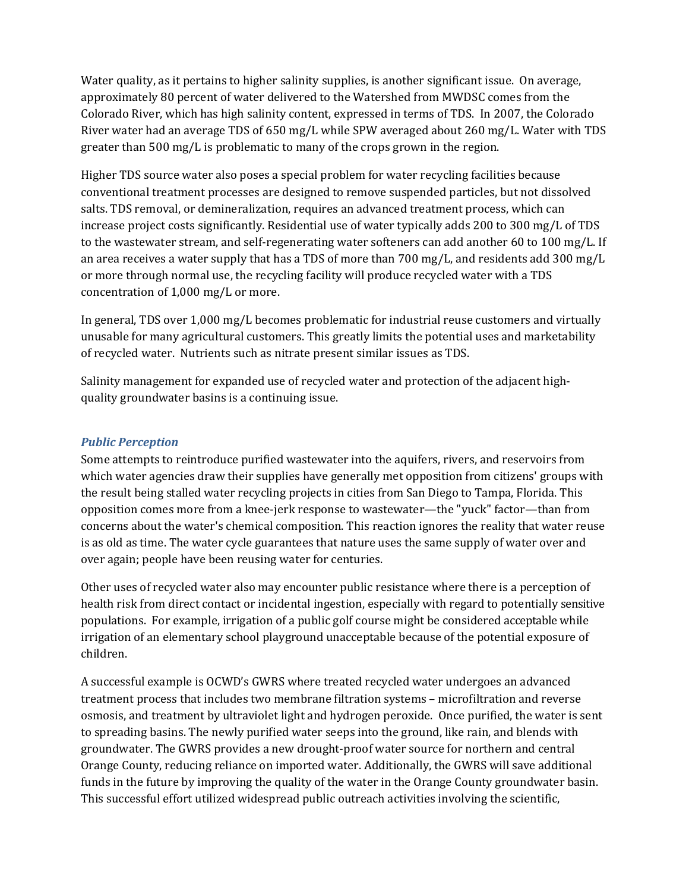Water quality, as it pertains to higher salinity supplies, is another significant issue. On average, approximately 80 percent of water delivered to the Watershed from MWDSC comes from the Colorado River, which has high salinity content, expressed in terms of TDS. In 2007, the Colorado River water had an average TDS of 650 mg/L while SPW averaged about 260 mg/L. Water with TDS greater than 500 mg/L is problematic to many of the crops grown in the region.

Higher TDS source water also poses a special problem for water recycling facilities because conventional treatment processes are designed to remove suspended particles, but not dissolved salts. TDS removal, or demineralization, requires an advanced treatment process, which can increase project costs significantly. Residential use of water typically adds 200 to 300 mg/L of TDS to the wastewater stream, and self‐regenerating water softeners can add another 60 to 100 mg/L. If an area receives a water supply that has a TDS of more than  $700 \text{ mg/L}$ , and residents add  $300 \text{ mg/L}$ or more through normal use, the recycling facility will produce recycled water with a TDS concentration of 1,000 mg/L or more.

In general, TDS over 1,000 mg/L becomes problematic for industrial reuse customers and virtually unusable for many agricultural customers. This greatly limits the potential uses and marketability of recycled water. Nutrients such as nitrate present similar issues as TDS.

Salinity management for expanded use of recycled water and protection of the adjacent high‐ quality groundwater basins is a continuing issue.

## *Public Perception*

Some attempts to reintroduce purified wastewater into the aquifers, rivers, and reservoirs from which water agencies draw their supplies have generally met opposition from citizens' groups with the result being stalled water recycling projects in cities from San Diego to Tampa, Florida. This opposition comes more from a knee‐jerk response to wastewater—the "yuck" factor—than from concerns about the water's chemical composition. This reaction ignores the reality that water reuse is as old as time. The water cycle guarantees that nature uses the same supply of water over and over again; people have been reusing water for centuries.

Other uses of recycled water also may encounter public resistance where there is a perception of health risk from direct contact or incidental ingestion, especially with regard to potentially sensitive populations. For example, irrigation of a public golf course might be considered acceptable while irrigation of an elementary school playground unacceptable because of the potential exposure of children.

A successful example is OCWD's GWRS where treated recycled water undergoes an advanced treatment process that includes two membrane filtration systems – microfiltration and reverse osmosis, and treatment by ultraviolet light and hydrogen peroxide. Once purified, the water is sent to spreading basins. The newly purified water seeps into the ground, like rain, and blends with groundwater. The GWRS provides a new drought‐proof water source for northern and central Orange County, reducing reliance on imported water. Additionally, the GWRS will save additional funds in the future by improving the quality of the water in the Orange County groundwater basin. This successful effort utilized widespread public outreach activities involving the scientific,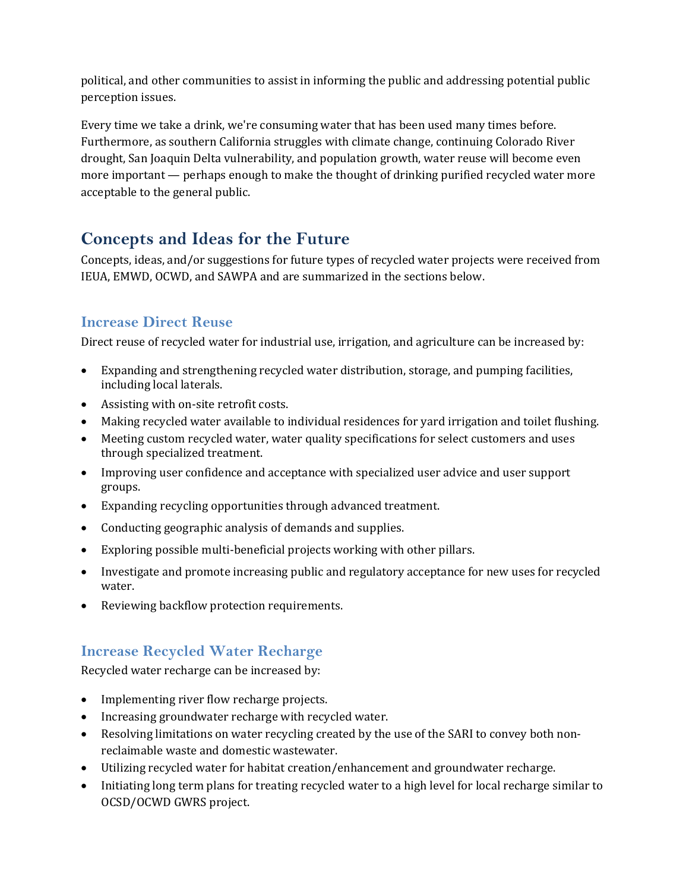political, and other communities to assist in informing the public and addressing potential public perception issues.

Every time we take a drink, we're consuming water that has been used many times before. Furthermore, as southern California struggles with climate change, continuing Colorado River drought, San Joaquin Delta vulnerability, and population growth, water reuse will become even more important — perhaps enough to make the thought of drinking purified recycled water more acceptable to the general public.

# **Concepts and Ideas for the Future**

Concepts, ideas, and/or suggestions for future types of recycled water projects were received from IEUA, EMWD, OCWD, and SAWPA and are summarized in the sections below.

# **Increase Direct Reuse**

Direct reuse of recycled water for industrial use, irrigation, and agriculture can be increased by:

- Expanding and strengthening recycled water distribution, storage, and pumping facilities, including local laterals.
- Assisting with on-site retrofit costs.
- Making recycled water available to individual residences for yard irrigation and toilet flushing.
- Meeting custom recycled water, water quality specifications for select customers and uses through specialized treatment.
- Improving user confidence and acceptance with specialized user advice and user support groups.
- Expanding recycling opportunities through advanced treatment.
- Conducting geographic analysis of demands and supplies.
- Exploring possible multi‐beneficial projects working with other pillars.
- Investigate and promote increasing public and regulatory acceptance for new uses for recycled water.
- Reviewing backflow protection requirements.

# **Increase Recycled Water Recharge**

Recycled water recharge can be increased by:

- Implementing river flow recharge projects.
- Increasing groundwater recharge with recycled water.
- Resolving limitations on water recycling created by the use of the SARI to convey both nonreclaimable waste and domestic wastewater.
- Utilizing recycled water for habitat creation/enhancement and groundwater recharge.
- Initiating long term plans for treating recycled water to a high level for local recharge similar to OCSD/OCWD GWRS project.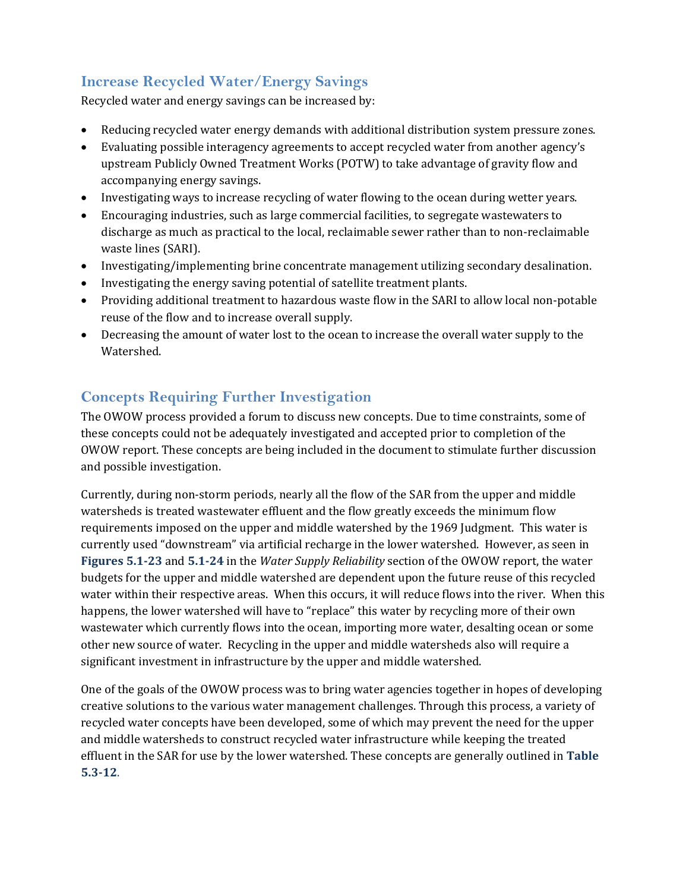# **Increase Recycled Water/Energy Savings**

Recycled water and energy savings can be increased by:

- Reducing recycled water energy demands with additional distribution system pressure zones.
- Evaluating possible interagency agreements to accept recycled water from another agency's upstream Publicly Owned Treatment Works (POTW) to take advantage of gravity flow and accompanying energy savings.
- Investigating ways to increase recycling of water flowing to the ocean during wetter years.
- Encouraging industries, such as large commercial facilities, to segregate wastewaters to discharge as much as practical to the local, reclaimable sewer rather than to non-reclaimable waste lines (SARI).
- Investigating/implementing brine concentrate management utilizing secondary desalination.
- Investigating the energy saving potential of satellite treatment plants.
- Providing additional treatment to hazardous waste flow in the SARI to allow local non-potable reuse of the flow and to increase overall supply.
- Decreasing the amount of water lost to the ocean to increase the overall water supply to the Watershed.

# **Concepts Requiring Further Investigation**

The OWOW process provided a forum to discuss new concepts. Due to time constraints, some of these concepts could not be adequately investigated and accepted prior to completion of the OWOW report. These concepts are being included in the document to stimulate further discussion and possible investigation.

Currently, during non‐storm periods, nearly all the flow of the SAR from the upper and middle watersheds is treated wastewater effluent and the flow greatly exceeds the minimum flow requirements imposed on the upper and middle watershed by the 1969 Judgment. This water is currently used "downstream" via artificial recharge in the lower watershed. However, as seen in **Figures 5.123** and **5.124** in the *Water Supply Reliability* section of the OWOW report, the water budgets for the upper and middle watershed are dependent upon the future reuse of this recycled water within their respective areas. When this occurs, it will reduce flows into the river. When this happens, the lower watershed will have to "replace" this water by recycling more of their own wastewater which currently flows into the ocean, importing more water, desalting ocean or some other new source of water. Recycling in the upper and middle watersheds also will require a significant investment in infrastructure by the upper and middle watershed.

One of the goals of the OWOW process was to bring water agencies together in hopes of developing creative solutions to the various water management challenges. Through this process, a variety of recycled water concepts have been developed, some of which may prevent the need for the upper and middle watersheds to construct recycled water infrastructure while keeping the treated effluent in the SAR for use by the lower watershed. These concepts are generally outlined in **Table 5.312**.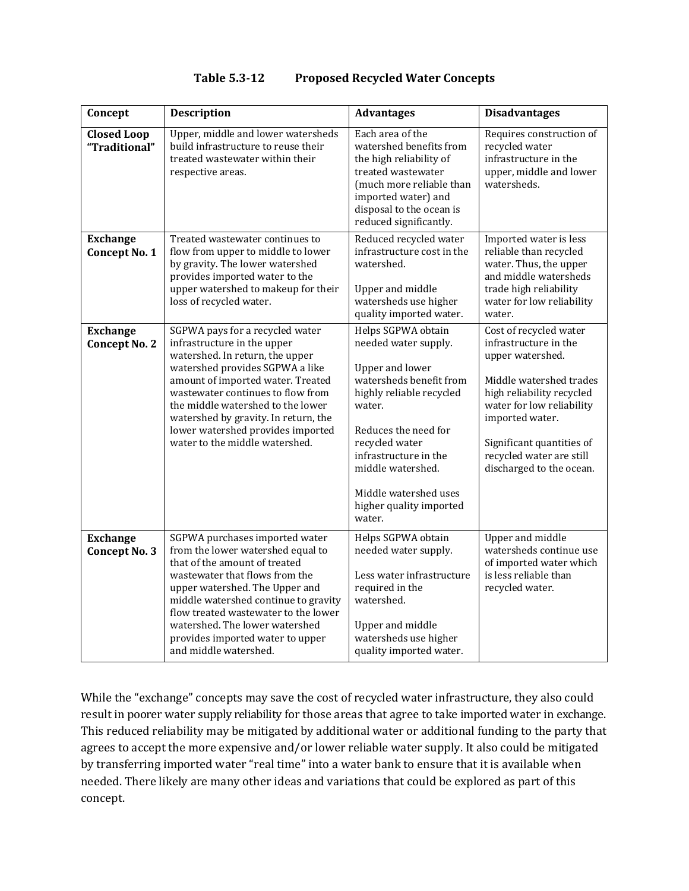## **Table 5.312 Proposed Recycled Water Concepts**

| Concept                                 | <b>Description</b>                                                                                                                                                                                                                                                                                                                                                 | <b>Advantages</b>                                                                                                                                                                                                                                                                           | <b>Disadvantages</b>                                                                                                                                                                                                                                             |
|-----------------------------------------|--------------------------------------------------------------------------------------------------------------------------------------------------------------------------------------------------------------------------------------------------------------------------------------------------------------------------------------------------------------------|---------------------------------------------------------------------------------------------------------------------------------------------------------------------------------------------------------------------------------------------------------------------------------------------|------------------------------------------------------------------------------------------------------------------------------------------------------------------------------------------------------------------------------------------------------------------|
| <b>Closed Loop</b><br>"Traditional"     | Upper, middle and lower watersheds<br>build infrastructure to reuse their<br>treated wastewater within their<br>respective areas.                                                                                                                                                                                                                                  | Each area of the<br>watershed benefits from<br>the high reliability of<br>treated wastewater<br>(much more reliable than<br>imported water) and<br>disposal to the ocean is<br>reduced significantly.                                                                                       | Requires construction of<br>recycled water<br>infrastructure in the<br>upper, middle and lower<br>watersheds.                                                                                                                                                    |
| <b>Exchange</b><br><b>Concept No. 1</b> | Treated wastewater continues to<br>flow from upper to middle to lower<br>by gravity. The lower watershed<br>provides imported water to the<br>upper watershed to makeup for their<br>loss of recycled water.                                                                                                                                                       | Reduced recycled water<br>infrastructure cost in the<br>watershed.<br>Upper and middle<br>watersheds use higher<br>quality imported water.                                                                                                                                                  | Imported water is less<br>reliable than recycled<br>water. Thus, the upper<br>and middle watersheds<br>trade high reliability<br>water for low reliability<br>water.                                                                                             |
| <b>Exchange</b><br><b>Concept No. 2</b> | SGPWA pays for a recycled water<br>infrastructure in the upper<br>watershed. In return, the upper<br>watershed provides SGPWA a like<br>amount of imported water. Treated<br>wastewater continues to flow from<br>the middle watershed to the lower<br>watershed by gravity. In return, the<br>lower watershed provides imported<br>water to the middle watershed. | Helps SGPWA obtain<br>needed water supply.<br><b>Upper and lower</b><br>watersheds benefit from<br>highly reliable recycled<br>water.<br>Reduces the need for<br>recycled water<br>infrastructure in the<br>middle watershed.<br>Middle watershed uses<br>higher quality imported<br>water. | Cost of recycled water<br>infrastructure in the<br>upper watershed.<br>Middle watershed trades<br>high reliability recycled<br>water for low reliability<br>imported water.<br>Significant quantities of<br>recycled water are still<br>discharged to the ocean. |
| <b>Exchange</b><br><b>Concept No. 3</b> | SGPWA purchases imported water<br>from the lower watershed equal to<br>that of the amount of treated<br>wastewater that flows from the<br>upper watershed. The Upper and<br>middle watershed continue to gravity<br>flow treated wastewater to the lower<br>watershed. The lower watershed<br>provides imported water to upper<br>and middle watershed.            | Helps SGPWA obtain<br>needed water supply.<br>Less water infrastructure<br>required in the<br>watershed.<br>Upper and middle<br>watersheds use higher<br>quality imported water.                                                                                                            | Upper and middle<br>watersheds continue use<br>of imported water which<br>is less reliable than<br>recycled water.                                                                                                                                               |

While the "exchange" concepts may save the cost of recycled water infrastructure, they also could result in poorer water supply reliability for those areas that agree to take imported water in exchange. This reduced reliability may be mitigated by additional water or additional funding to the party that agrees to accept the more expensive and/or lower reliable water supply. It also could be mitigated by transferring imported water "real time" into a water bank to ensure that it is available when needed. There likely are many other ideas and variations that could be explored as part of this concept.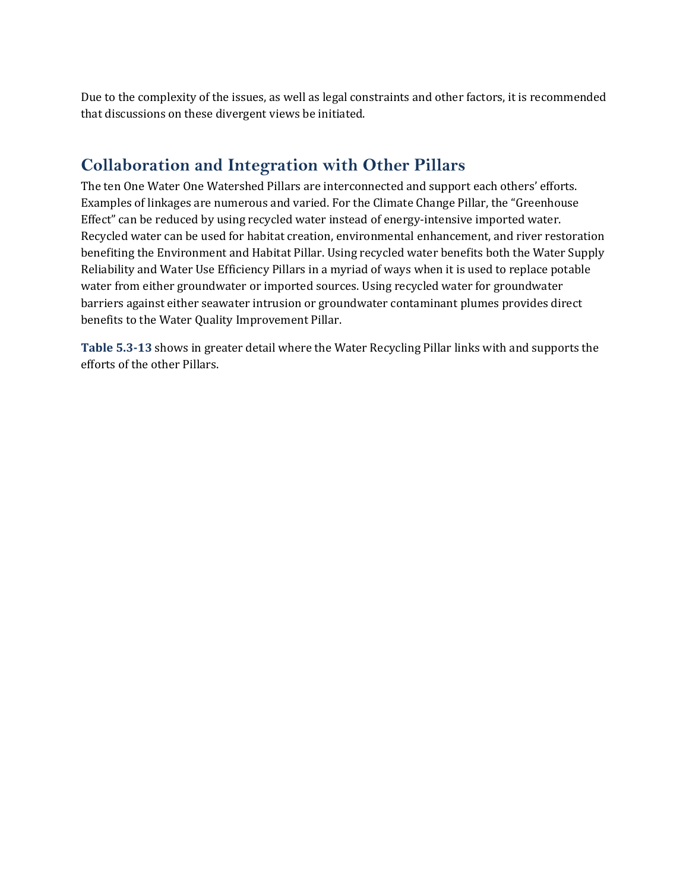Due to the complexity of the issues, as well as legal constraints and other factors, it is recommended that discussions on these divergent views be initiated.

# **Collaboration and Integration with Other Pillars**

The ten One Water One Watershed Pillars are interconnected and support each others' efforts. Examples of linkages are numerous and varied. For the Climate Change Pillar, the "Greenhouse Effect" can be reduced by using recycled water instead of energy-intensive imported water. Recycled water can be used for habitat creation, environmental enhancement, and river restoration benefiting the Environment and Habitat Pillar. Using recycled water benefits both the Water Supply Reliability and Water Use Efficiency Pillars in a myriad of ways when it is used to replace potable water from either groundwater or imported sources. Using recycled water for groundwater barriers against either seawater intrusion or groundwater contaminant plumes provides direct benefits to the Water Quality Improvement Pillar.

**Table 5.313** shows in greater detail where the Water Recycling Pillar links with and supports the efforts of the other Pillars.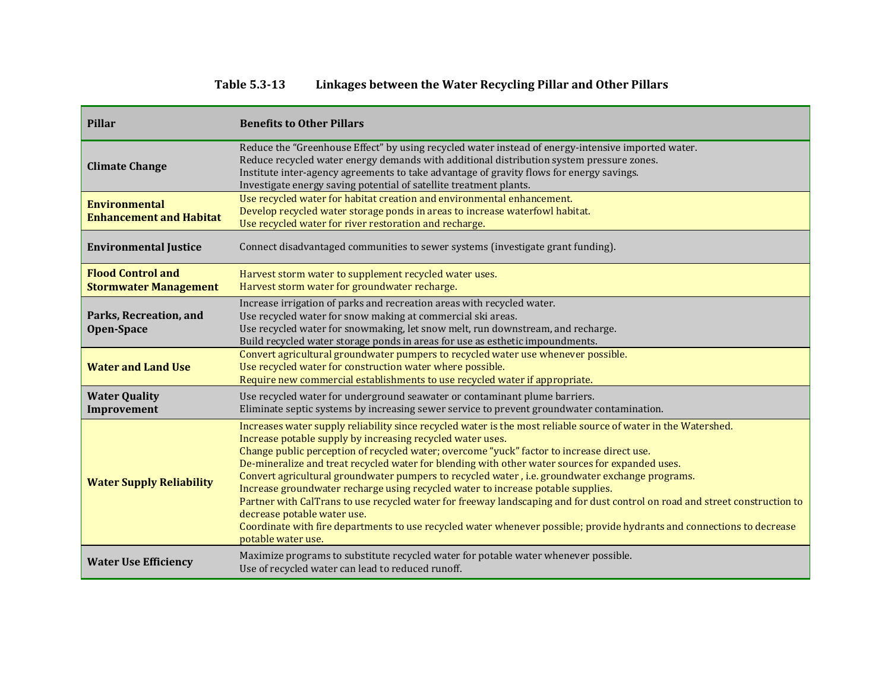#### **Table 5.313Linkages between the Water Recycling Pillar and Other Pillars**

| <b>Pillar</b>                                            | <b>Benefits to Other Pillars</b>                                                                                                                                                                                                                                                                                                                                                                                                                                                                                                                                                                                                                                                                                                                                                                                                                                                   |
|----------------------------------------------------------|------------------------------------------------------------------------------------------------------------------------------------------------------------------------------------------------------------------------------------------------------------------------------------------------------------------------------------------------------------------------------------------------------------------------------------------------------------------------------------------------------------------------------------------------------------------------------------------------------------------------------------------------------------------------------------------------------------------------------------------------------------------------------------------------------------------------------------------------------------------------------------|
| <b>Climate Change</b>                                    | Reduce the "Greenhouse Effect" by using recycled water instead of energy-intensive imported water.<br>Reduce recycled water energy demands with additional distribution system pressure zones.<br>Institute inter-agency agreements to take advantage of gravity flows for energy savings.<br>Investigate energy saving potential of satellite treatment plants.                                                                                                                                                                                                                                                                                                                                                                                                                                                                                                                   |
| <b>Environmental</b><br><b>Enhancement and Habitat</b>   | Use recycled water for habitat creation and environmental enhancement.<br>Develop recycled water storage ponds in areas to increase waterfowl habitat.<br>Use recycled water for river restoration and recharge.                                                                                                                                                                                                                                                                                                                                                                                                                                                                                                                                                                                                                                                                   |
| <b>Environmental Justice</b>                             | Connect disadvantaged communities to sewer systems (investigate grant funding).                                                                                                                                                                                                                                                                                                                                                                                                                                                                                                                                                                                                                                                                                                                                                                                                    |
| <b>Flood Control and</b><br><b>Stormwater Management</b> | Harvest storm water to supplement recycled water uses.<br>Harvest storm water for groundwater recharge.                                                                                                                                                                                                                                                                                                                                                                                                                                                                                                                                                                                                                                                                                                                                                                            |
| Parks, Recreation, and<br>Open-Space                     | Increase irrigation of parks and recreation areas with recycled water.<br>Use recycled water for snow making at commercial ski areas.<br>Use recycled water for snowmaking, let snow melt, run downstream, and recharge.<br>Build recycled water storage ponds in areas for use as esthetic impoundments.                                                                                                                                                                                                                                                                                                                                                                                                                                                                                                                                                                          |
| <b>Water and Land Use</b>                                | Convert agricultural groundwater pumpers to recycled water use whenever possible.<br>Use recycled water for construction water where possible.<br>Require new commercial establishments to use recycled water if appropriate.                                                                                                                                                                                                                                                                                                                                                                                                                                                                                                                                                                                                                                                      |
| <b>Water Quality</b><br>Improvement                      | Use recycled water for underground seawater or contaminant plume barriers.<br>Eliminate septic systems by increasing sewer service to prevent groundwater contamination.                                                                                                                                                                                                                                                                                                                                                                                                                                                                                                                                                                                                                                                                                                           |
| <b>Water Supply Reliability</b>                          | Increases water supply reliability since recycled water is the most reliable source of water in the Watershed.<br>Increase potable supply by increasing recycled water uses.<br>Change public perception of recycled water; overcome "yuck" factor to increase direct use.<br>De-mineralize and treat recycled water for blending with other water sources for expanded uses.<br>Convert agricultural groundwater pumpers to recycled water, i.e. groundwater exchange programs.<br>Increase groundwater recharge using recycled water to increase potable supplies.<br>Partner with CalTrans to use recycled water for freeway landscaping and for dust control on road and street construction to<br>decrease potable water use.<br>Coordinate with fire departments to use recycled water whenever possible; provide hydrants and connections to decrease<br>potable water use. |
| <b>Water Use Efficiency</b>                              | Maximize programs to substitute recycled water for potable water whenever possible.<br>Use of recycled water can lead to reduced runoff.                                                                                                                                                                                                                                                                                                                                                                                                                                                                                                                                                                                                                                                                                                                                           |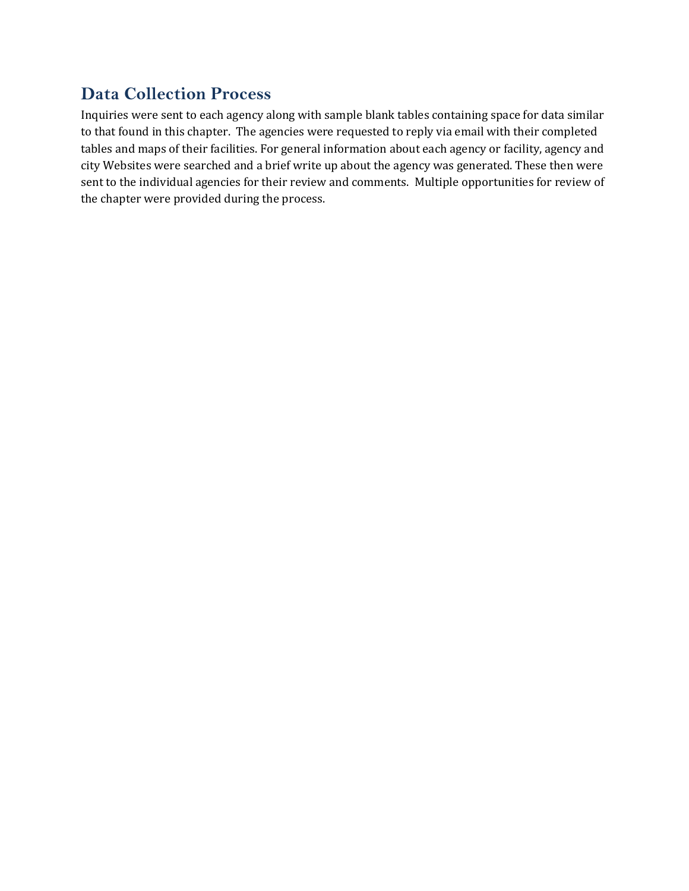# **Data Collection Process**

Inquiries were sent to each agency along with sample blank tables containing space for data similar to that found in this chapter. The agencies were requested to reply via email with their completed tables and maps of their facilities. For general information about each agency or facility, agency and city Websites were searched and a brief write up about the agency was generated. These then were sent to the individual agencies for their review and comments. Multiple opportunities for review of the chapter were provided during the process.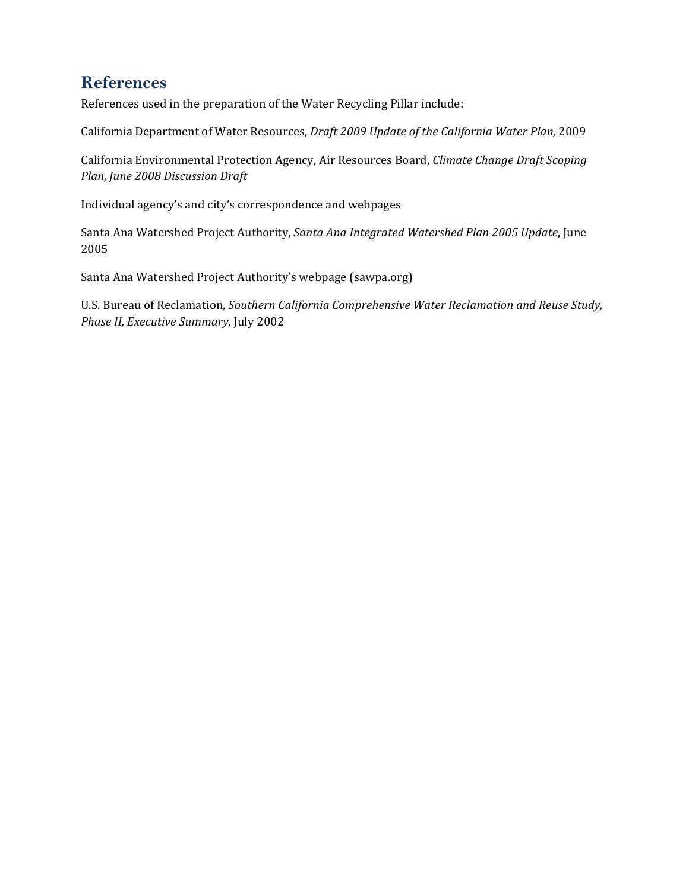# **References**

References used in the preparation of the Water Recycling Pillar include:

California Department of Water Resources, *Draft 2009 Update of the California Water Plan,* 2009

California Environmental Protection Agency, Air Resources Board, *Climate Change Draft Scoping Plan, June 2008 Discussion Draft*

Individual agency's and city's correspondence and webpages

Santa Ana Watershed Project Authority, *Santa Ana Integrated Watershed Plan 2005 Update*, June 2005

Santa Ana Watershed Project Authority's webpage (sawpa.org)

U.S. Bureau of Reclamation, *Southern California Comprehensive Water Reclamation and Reuse Study, Phase II, Executive Summary*, July 2002